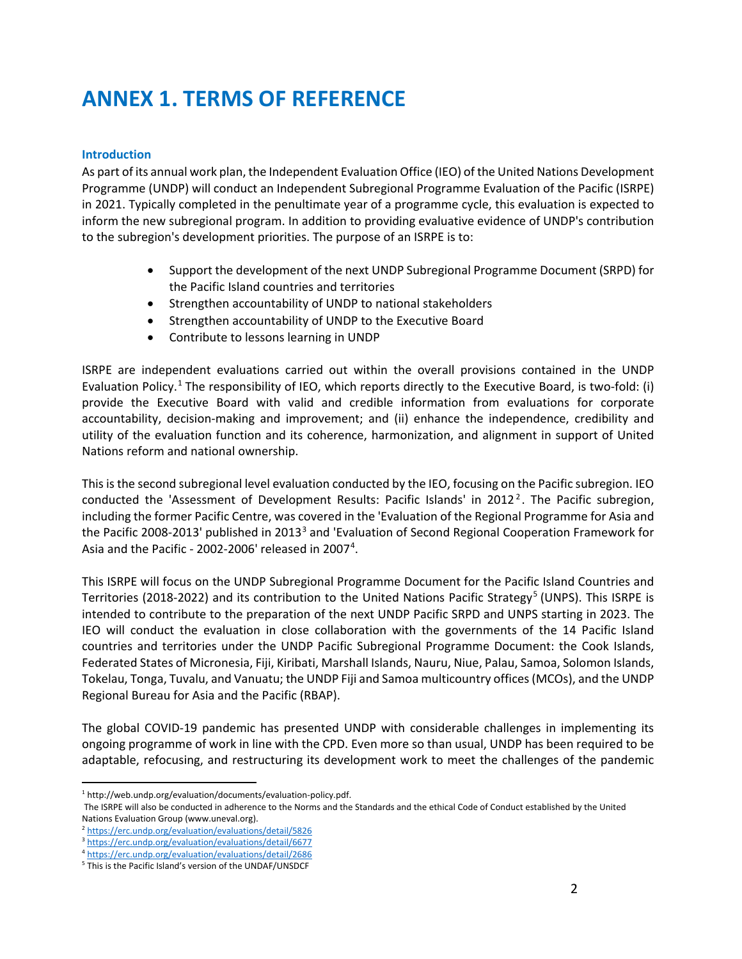# **ANNEX 1. TERMS OF REFERENCE**

# **Introduction**

As part of its annual work plan, the Independent Evaluation Office (IEO) of the United Nations Development Programme (UNDP) will conduct an Independent Subregional Programme Evaluation of the Pacific (ISRPE) in 2021. Typically completed in the penultimate year of a programme cycle, this evaluation is expected to inform the new subregional program. In addition to providing evaluative evidence of UNDP's contribution to the subregion's development priorities. The purpose of an ISRPE is to:

- Support the development of the next UNDP Subregional Programme Document (SRPD) for the Pacific Island countries and territories
- Strengthen accountability of UNDP to national stakeholders
- Strengthen accountability of UNDP to the Executive Board
- Contribute to lessons learning in UNDP

ISRPE are independent evaluations carried out within the overall provisions contained in the UNDP Evaluation Policy.[1](#page-0-0) The responsibility of IEO, which reports directly to the Executive Board, is two-fold: (i) provide the Executive Board with valid and credible information from evaluations for corporate accountability, decision-making and improvement; and (ii) enhance the independence, credibility and utility of the evaluation function and its coherence, harmonization, and alignment in support of United Nations reform and national ownership.

This is the second subregional level evaluation conducted by the IEO, focusing on the Pacific subregion. IEO conducted the 'Assessment of Development Results: Pacific Islands' in  $2012^2$  $2012^2$ . The Pacific subregion, including the former Pacific Centre, was covered in the 'Evaluation of the Regional Programme for Asia and the Pacific 2008-201[3](#page-0-2)' published in 2013<sup>3</sup> and 'Evaluation of Second Regional Cooperation Framework for Asia and the Pacific - 2002-2006' released in 2007<sup>[4](#page-0-3)</sup>.

This ISRPE will focus on the UNDP Subregional Programme Document for the Pacific Island Countries and Territories (2018-2022) and its contribution to the United Nations Pacific Strategy<sup>[5](#page-0-4)</sup> (UNPS). This ISRPE is intended to contribute to the preparation of the next UNDP Pacific SRPD and UNPS starting in 2023. The IEO will conduct the evaluation in close collaboration with the governments of the 14 Pacific Island countries and territories under the UNDP Pacific Subregional Programme Document: the Cook Islands, Federated States of Micronesia, Fiji, Kiribati, Marshall Islands, Nauru, Niue, Palau, Samoa, Solomon Islands, Tokelau, Tonga, Tuvalu, and Vanuatu; the UNDP Fiji and Samoa multicountry offices (MCOs), and the UNDP Regional Bureau for Asia and the Pacific (RBAP).

The global COVID-19 pandemic has presented UNDP with considerable challenges in implementing its ongoing programme of work in line with the CPD. Even more so than usual, UNDP has been required to be adaptable, refocusing, and restructuring its development work to meet the challenges of the pandemic

<span id="page-0-0"></span>l <sup>1</sup> http://web.undp.org/evaluation/documents/evaluation-policy.pdf.

The ISRPE will also be conducted in adherence to the Norms and the Standards and the ethical Code of Conduct established by the United Nations Evaluation Group (www.uneval.org).

<span id="page-0-1"></span> $\frac{P\! \n [\frac{P}{1000}](https://erc.undp.org/evaluation/evaluation/gdeial/5826}{https://erc.undp.org/evaluation/evaluation/gdeial/6677}</a>\n<br/>\n<math display=)$  \n [P \n This is the Pacific Island's version of the UNDER/UNSDCF](https://erc.undp.org/evaluation/evaluation/gdeial/6677}{https://erc.undp.org/evaluation/evaluation/gdeial/2686}</a>\n<br/>\n<math display=)

<span id="page-0-2"></span>

<span id="page-0-3"></span>

<span id="page-0-4"></span>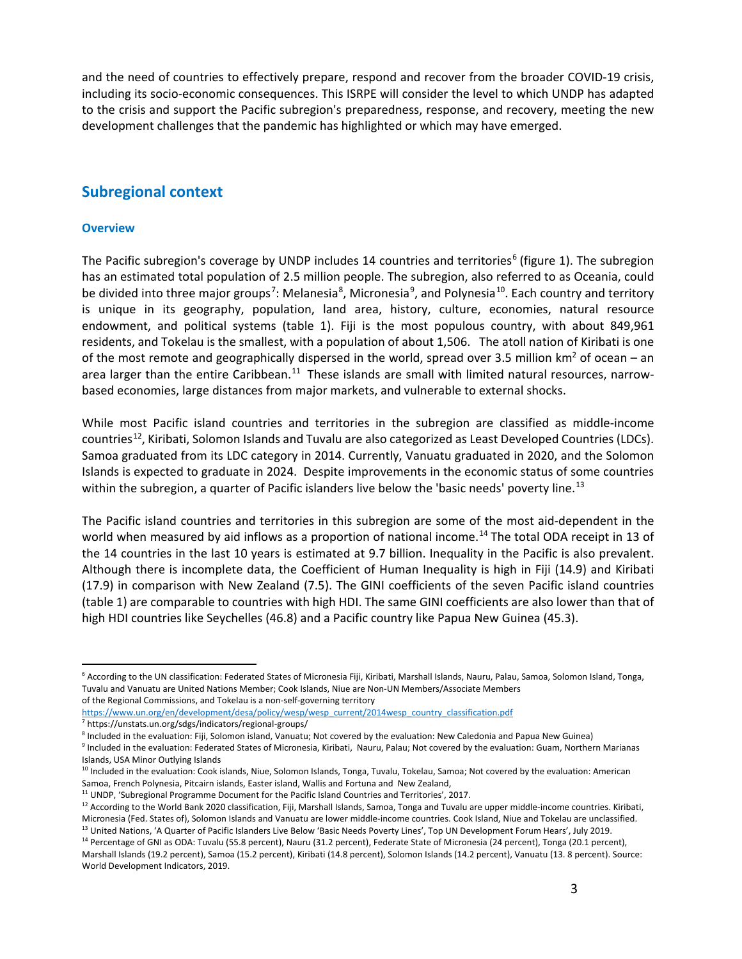and the need of countries to effectively prepare, respond and recover from the broader COVID-19 crisis, including its socio-economic consequences. This ISRPE will consider the level to which UNDP has adapted to the crisis and support the Pacific subregion's preparedness, response, and recovery, meeting the new development challenges that the pandemic has highlighted or which may have emerged.

# **Subregional context**

#### **Overview**

 $\overline{a}$ 

The Pacific subregion's coverage by UNDP includes 14 countries and territories<sup>[6](#page-1-0)</sup> (figure 1). The subregion has an estimated total population of 2.5 million people. The subregion, also referred to as Oceania, could be divided into three major groups<sup>[7](#page-1-1)</sup>: Melanesia<sup>[8](#page-1-2)</sup>, Micronesia<sup>[9](#page-1-3)</sup>, and Polynesia<sup>10</sup>. Each country and territory is unique in its geography, population, land area, history, culture, economies, natural resource endowment, and political systems (table 1). Fiji is the most populous country, with about 849,961 residents, and Tokelau is the smallest, with a population of about 1,506. The atoll nation of Kiribati is one of the most remote and geographically dispersed in the world, spread over 3.5 million  $km^2$  of ocean – an area larger than the entire Caribbean.<sup>[11](#page-1-5)</sup> These islands are small with limited natural resources, narrowbased economies, large distances from major markets, and vulnerable to external shocks.

While most Pacific island countries and territories in the subregion are classified as middle-income countries<sup>[12](#page-1-6)</sup>, Kiribati, Solomon Islands and Tuvalu are also categorized as Least Developed Countries (LDCs). Samoa graduated from its LDC category in 2014. Currently, Vanuatu graduated in 2020, and the Solomon Islands is expected to graduate in 2024. Despite improvements in the economic status of some countries within the subregion, a quarter of Pacific islanders live below the 'basic needs' poverty line.<sup>13</sup>

The Pacific island countries and territories in this subregion are some of the most aid-dependent in the world when measured by aid inflows as a proportion of national income.<sup>[14](#page-1-8)</sup> The total ODA receipt in 13 of the 14 countries in the last 10 years is estimated at 9.7 billion. Inequality in the Pacific is also prevalent. Although there is incomplete data, the Coefficient of Human Inequality is high in Fiji (14.9) and Kiribati (17.9) in comparison with New Zealand (7.5). The GINI coefficients of the seven Pacific island countries (table 1) are comparable to countries with high HDI. The same GINI coefficients are also lower than that of high HDI countries like Seychelles (46.8) and a Pacific country like Papua New Guinea (45.3).

<span id="page-1-0"></span><sup>&</sup>lt;sup>6</sup> According to the UN classification: Federated States of Micronesia Fiji, Kiribati, Marshall Islands, Nauru, Palau, Samoa, Solomon Island, Tonga, Tuvalu and Vanuatu are United Nations Member; Cook Islands, Niue are Non-UN Members/Associate Members of the Regional Commissions, and Tokelau is a non-self-governing territory

https://www.un.org/en/development/desa/policy/wesp/wesp\_current/2014wesp\_country\_classification.pdf<br><sup>7</sup> https://unstats.un.org/sdgs/indicators/regional-groups/

<span id="page-1-1"></span>

<span id="page-1-2"></span><sup>8</sup> Included in the evaluation: Fiji, Solomon island, Vanuatu; Not covered by the evaluation: New Caledonia and Papua New Guinea)

<span id="page-1-3"></span><sup>&</sup>lt;sup>9</sup> Included in the evaluation: Federated States of Micronesia, Kiribati, Nauru, Palau; Not covered by the evaluation: Guam, Northern Marianas Islands, USA Minor Outlying Islands

<span id="page-1-4"></span><sup>&</sup>lt;sup>10</sup> Included in the evaluation: Cook islands, Niue, Solomon Islands, Tonga, Tuvalu, Tokelau, Samoa; Not covered by the evaluation: American Samoa, French Polynesia, Pitcairn islands, Easter island, Wallis and Fortuna and New Zealand,<br><sup>11</sup> UNDP, 'Subregional Programme Document for the Pacific Island Countries and Territories', 2017.<br><sup>12</sup> According to the World

<span id="page-1-5"></span>

<span id="page-1-6"></span>Micronesia (Fed. States of), Solomon Islands and Vanuatu are lower middle-income countries. Cook Island, Niue and Tokelau are unclassified. 13 United Nations, 'A Quarter of Pacific Islanders Live Below 'Basic Needs Poverty Lines', Top UN Development Forum Hears', July 2019.

<span id="page-1-8"></span><span id="page-1-7"></span><sup>&</sup>lt;sup>14</sup> Percentage of GNI as ODA: Tuvalu (55.8 percent), Nauru (31.2 percent), Federate State of Micronesia (24 percent), Tonga (20.1 percent),

Marshall Islands (19.2 percent), Samoa (15.2 percent), Kiribati (14.8 percent), Solomon Islands (14.2 percent), Vanuatu (13. 8 percent). Source: World Development Indicators, 2019.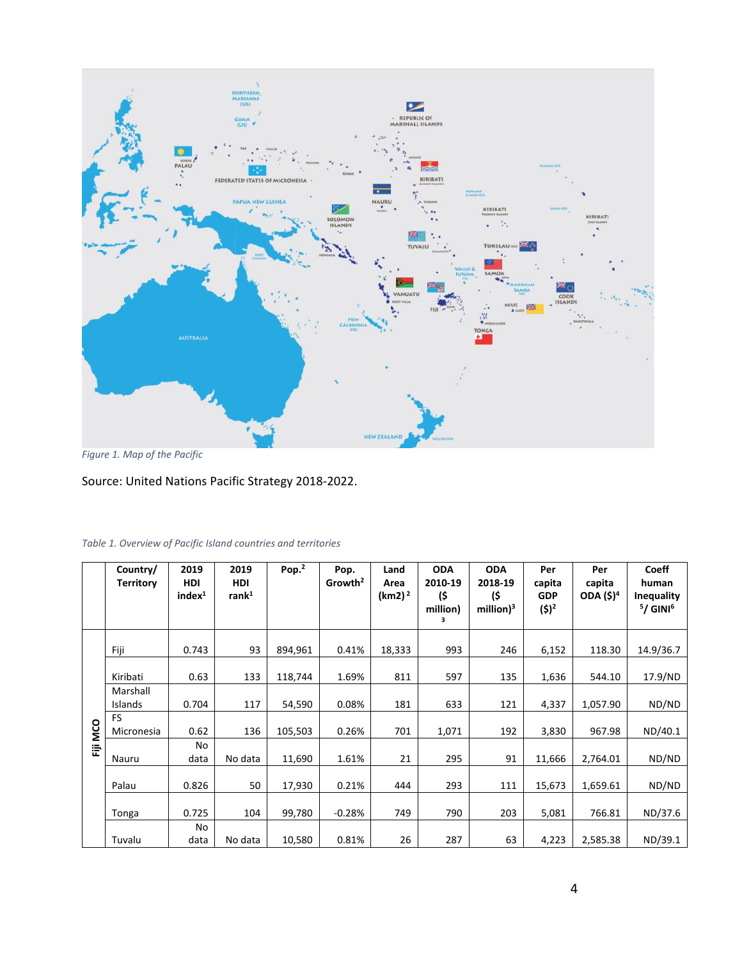

*Figure 1. Map of the Pacific*

Source: United Nations Pacific Strategy 2018-2022.

|          | Country/<br><b>Territory</b> | 2019<br><b>HDI</b><br>index <sup>1</sup> | 2019<br><b>HDI</b><br>rank <sup>1</sup> | Pop. <sup>2</sup> | Pop.<br>Growth <sup>2</sup> | Land<br>Area<br>$(km2)^2$ | <b>ODA</b><br>2010-19<br>(\$<br>million)<br>з | <b>ODA</b><br>2018-19<br>(\$<br>million $)^3$ | Per<br>capita<br><b>GDP</b><br>$(5)^2$ | Per<br>capita<br>ODA (\$) <sup>4</sup> | <b>Coeff</b><br>human<br>Inequality<br>$5/$ GINI <sup>6</sup> |
|----------|------------------------------|------------------------------------------|-----------------------------------------|-------------------|-----------------------------|---------------------------|-----------------------------------------------|-----------------------------------------------|----------------------------------------|----------------------------------------|---------------------------------------------------------------|
|          | Fiji                         | 0.743                                    | 93                                      | 894,961           | 0.41%                       | 18,333                    | 993                                           | 246                                           | 6,152                                  | 118.30                                 | 14.9/36.7                                                     |
|          | Kiribati                     | 0.63                                     | 133                                     | 118,744           | 1.69%                       | 811                       | 597                                           | 135                                           | 1,636                                  | 544.10                                 | 17.9/ND                                                       |
|          | Marshall<br><b>Islands</b>   | 0.704                                    | 117                                     | 54,590            | 0.08%                       | 181                       | 633                                           | 121                                           | 4,337                                  | 1,057.90                               | ND/ND                                                         |
|          | <b>FS</b><br>Micronesia      | 0.62                                     | 136                                     | 105,503           | 0.26%                       | 701                       | 1,071                                         | 192                                           | 3,830                                  | 967.98                                 | ND/40.1                                                       |
| Fiji MCO | Nauru                        | No<br>data                               | No data                                 | 11,690            | 1.61%                       | 21                        | 295                                           | 91                                            | 11,666                                 | 2,764.01                               | ND/ND                                                         |
|          | Palau                        | 0.826                                    | 50                                      | 17,930            | 0.21%                       | 444                       | 293                                           | 111                                           | 15,673                                 | 1,659.61                               | ND/ND                                                         |
|          | Tonga                        | 0.725                                    | 104                                     | 99,780            | $-0.28%$                    | 749                       | 790                                           | 203                                           | 5,081                                  | 766.81                                 | ND/37.6                                                       |
|          | Tuvalu                       | No<br>data                               | No data                                 | 10,580            | 0.81%                       | 26                        | 287                                           | 63                                            | 4,223                                  | 2,585.38                               | ND/39.1                                                       |

# *Table 1. Overview of Pacific Island countries and territories*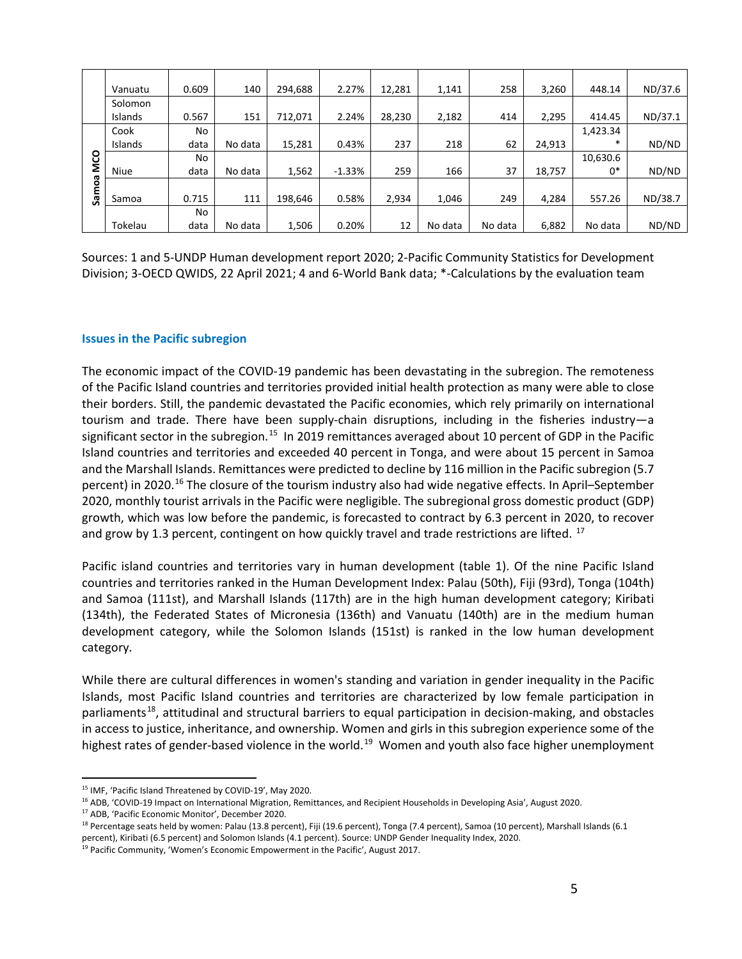|            | Vanuatu     | 0.609 | 140     | 294,688 | 2.27%    | 12,281 | 1,141   | 258     | 3,260  | 448.14   | ND/37.6 |
|------------|-------------|-------|---------|---------|----------|--------|---------|---------|--------|----------|---------|
|            | Solomon     |       |         |         |          |        |         |         |        |          |         |
|            | Islands     | 0.567 | 151     | 712,071 | 2.24%    | 28,230 | 2,182   | 414     | 2,295  | 414.45   | ND/37.1 |
|            | Cook        | No    |         |         |          |        |         |         |        | 1,423.34 |         |
|            |             |       |         |         |          |        |         |         |        | $\ast$   |         |
|            | Islands     | data  | No data | 15,281  | 0.43%    | 237    | 218     | 62      | 24,913 |          | ND/ND   |
| <b>MCO</b> |             | No    |         |         |          |        |         |         |        | 10,630.6 |         |
|            | <b>Niue</b> | data  | No data | 1,562   | $-1.33%$ | 259    | 166     | 37      | 18,757 | 0*       | ND/ND   |
|            |             |       |         |         |          |        |         |         |        |          |         |
| Samoa      | Samoa       | 0.715 | 111     | 198,646 | 0.58%    | 2,934  | 1,046   | 249     | 4,284  | 557.26   | ND/38.7 |
|            |             | No    |         |         |          |        |         |         |        |          |         |
|            | Tokelau     | data  | No data | 1,506   | 0.20%    | 12     | No data | No data | 6,882  | No data  | ND/ND   |

Sources: 1 and 5-UNDP Human development report 2020; 2-Pacific Community Statistics for Development Division; 3-OECD QWIDS, 22 April 2021; 4 and 6-World Bank data; \*-Calculations by the evaluation team

#### **Issues in the Pacific subregion**

The economic impact of the COVID-19 pandemic has been devastating in the subregion. The remoteness of the Pacific Island countries and territories provided initial health protection as many were able to close their borders. Still, the pandemic devastated the Pacific economies, which rely primarily on international tourism and trade. There have been supply-chain disruptions, including in the fisheries industry—a significant sector in the subregion.<sup>[15](#page-3-0)</sup> In 2019 remittances averaged about 10 percent of GDP in the Pacific Island countries and territories and exceeded 40 percent in Tonga, and were about 15 percent in Samoa and the Marshall Islands. Remittances were predicted to decline by 116 million in the Pacific subregion (5.7 percent) in 2020.<sup>[16](#page-3-1)</sup> The closure of the tourism industry also had wide negative effects. In April–September 2020, monthly tourist arrivals in the Pacific were negligible. The subregional gross domestic product (GDP) growth, which was low before the pandemic, is forecasted to contract by 6.3 percent in 2020, to recover and grow by 1.3 percent, contingent on how quickly travel and trade restrictions are lifted.  $^{17}$ 

Pacific island countries and territories vary in human development (table 1). Of the nine Pacific Island countries and territories ranked in the Human Development Index: Palau (50th), Fiji (93rd), Tonga (104th) and Samoa (111st), and Marshall Islands (117th) are in the high human development category; Kiribati (134th), the Federated States of Micronesia (136th) and Vanuatu (140th) are in the medium human development category, while the Solomon Islands (151st) is ranked in the low human development category.

While there are cultural differences in women's standing and variation in gender inequality in the Pacific Islands, most Pacific Island countries and territories are characterized by low female participation in parliaments<sup>18</sup>, attitudinal and structural barriers to equal participation in decision-making, and obstacles in access to justice, inheritance, and ownership. Women and girls in this subregion experience some of the highest rates of gender-based violence in the world.<sup>19</sup> Women and youth also face higher unemployment

<span id="page-3-2"></span><sup>17</sup> ADB, 'Pacific Economic Monitor', December 2020.

l

<span id="page-3-0"></span><sup>15</sup> IMF, 'Pacific Island Threatened by COVID-19', May 2020.

<span id="page-3-1"></span><sup>&</sup>lt;sup>16</sup> ADB, 'COVID-19 Impact on International Migration, Remittances, and Recipient Households in Developing Asia', August 2020.

<span id="page-3-3"></span><sup>&</sup>lt;sup>18</sup> Percentage seats held by women: Palau (13.8 percent), Fiji (19.6 percent), Tonga (7.4 percent), Samoa (10 percent), Marshall Islands (6.1 percent), Kiribati (6.5 percent) and Solomon Islands (4.1 percent). Source: UNDP Gender Inequality Index, 2020.

<span id="page-3-4"></span><sup>&</sup>lt;sup>19</sup> Pacific Community, 'Women's Economic Empowerment in the Pacific', August 2017.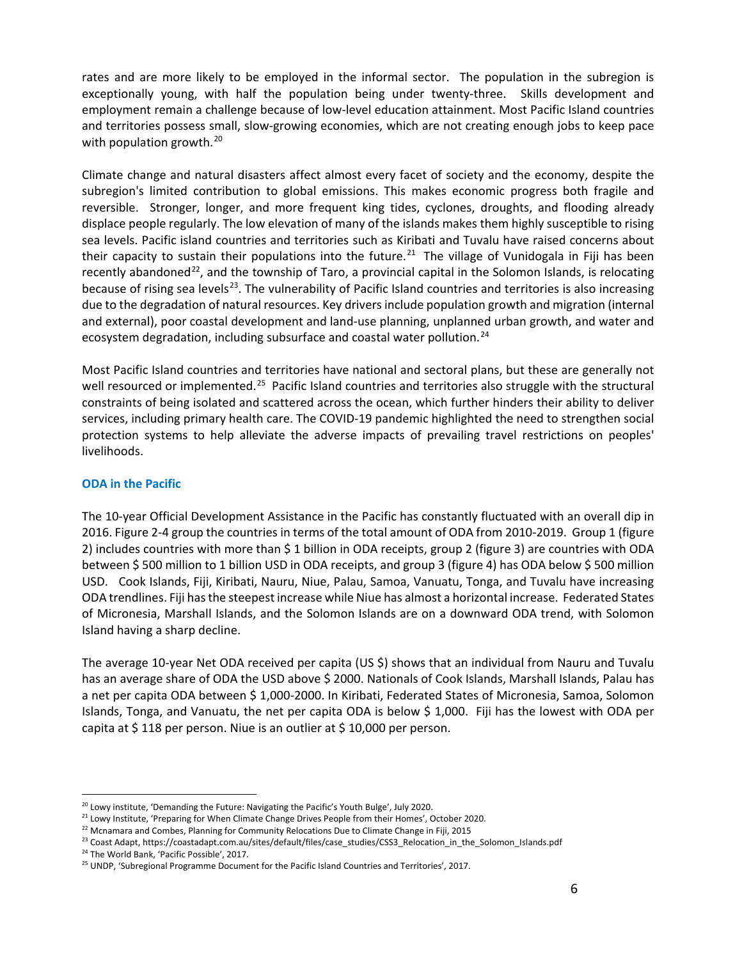rates and are more likely to be employed in the informal sector. The population in the subregion is exceptionally young, with half the population being under twenty-three. Skills development and employment remain a challenge because of low-level education attainment. Most Pacific Island countries and territories possess small, slow-growing economies, which are not creating enough jobs to keep pace with population growth.<sup>20</sup>

Climate change and natural disasters affect almost every facet of society and the economy, despite the subregion's limited contribution to global emissions. This makes economic progress both fragile and reversible. Stronger, longer, and more frequent king tides, cyclones, droughts, and flooding already displace people regularly. The low elevation of many of the islands makes them highly susceptible to rising sea levels. Pacific island countries and territories such as Kiribati and Tuvalu have raised concerns about their capacity to sustain their populations into the future.<sup>[21](#page-4-1)</sup> The village of Vunidogala in Fiji has been recently abandoned<sup>[22](#page-4-2)</sup>, and the township of Taro, a provincial capital in the Solomon Islands, is relocating because of rising sea levels<sup>23</sup>. The vulnerability of Pacific Island countries and territories is also increasing due to the degradation of natural resources. Key drivers include population growth and migration (internal and external), poor coastal development and land-use planning, unplanned urban growth, and water and ecosystem degradation, including subsurface and coastal water pollution.<sup>24</sup>

Most Pacific Island countries and territories have national and sectoral plans, but these are generally not well resourced or implemented.<sup>[25](#page-4-5)</sup> Pacific Island countries and territories also struggle with the structural constraints of being isolated and scattered across the ocean, which further hinders their ability to deliver services, including primary health care. The COVID-19 pandemic highlighted the need to strengthen social protection systems to help alleviate the adverse impacts of prevailing travel restrictions on peoples' livelihoods.

#### **ODA in the Pacific**

The 10-year Official Development Assistance in the Pacific has constantly fluctuated with an overall dip in 2016. Figure 2-4 group the countries in terms of the total amount of ODA from 2010-2019. Group 1 (figure 2) includes countries with more than \$ 1 billion in ODA receipts, group 2 (figure 3) are countries with ODA between \$ 500 million to 1 billion USD in ODA receipts, and group 3 (figure 4) has ODA below \$ 500 million USD. Cook Islands, Fiji, Kiribati, Nauru, Niue, Palau, Samoa, Vanuatu, Tonga, and Tuvalu have increasing ODA trendlines. Fiji has the steepest increase while Niue has almost a horizontal increase. Federated States of Micronesia, Marshall Islands, and the Solomon Islands are on a downward ODA trend, with Solomon Island having a sharp decline.

The average 10-year Net ODA received per capita (US \$) shows that an individual from Nauru and Tuvalu has an average share of ODA the USD above \$ 2000. Nationals of Cook Islands, Marshall Islands, Palau has a net per capita ODA between \$ 1,000-2000. In Kiribati, Federated States of Micronesia, Samoa, Solomon Islands, Tonga, and Vanuatu, the net per capita ODA is below \$ 1,000. Fiji has the lowest with ODA per capita at \$118 per person. Niue is an outlier at \$10,000 per person.

 $\overline{a}$ 

<span id="page-4-0"></span><sup>&</sup>lt;sup>20</sup> Lowy institute, 'Demanding the Future: Navigating the Pacific's Youth Bulge', July 2020.

<span id="page-4-1"></span><sup>&</sup>lt;sup>21</sup> Lowy Institute, 'Preparing for When Climate Change Drives People from their Homes', October 2020.

<span id="page-4-2"></span><sup>&</sup>lt;sup>22</sup> Mcnamara and Combes, Planning for Community Relocations Due to Climate Change in Fiji, 2015

<span id="page-4-3"></span><sup>&</sup>lt;sup>23</sup> Coast Adapt, https://coastadapt.com.au/sites/default/files/case\_studies/CSS3\_Relocation\_in\_the\_Solomon\_Islands.pdf

<span id="page-4-4"></span><sup>&</sup>lt;sup>24</sup> The World Bank, 'Pacific Possible', 2017.

<span id="page-4-5"></span><sup>&</sup>lt;sup>25</sup> UNDP, 'Subregional Programme Document for the Pacific Island Countries and Territories', 2017.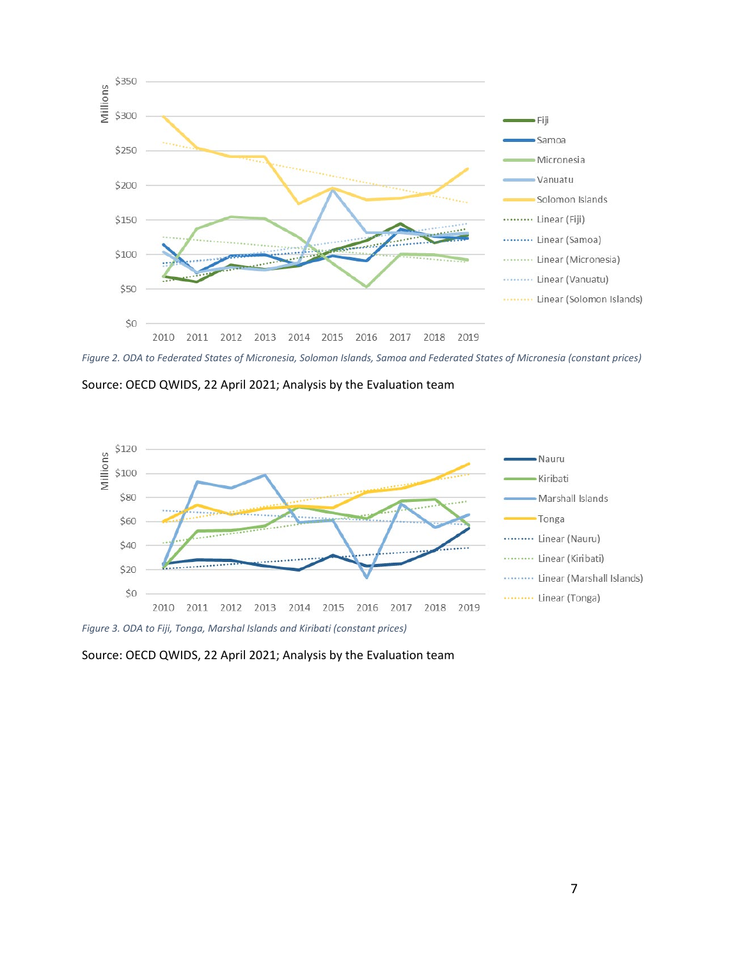

*Figure 2. ODA to Federated States of Micronesia, Solomon Islands, Samoa and Federated States of Micronesia (constant prices)*

Source: OECD QWIDS, 22 April 2021; Analysis by the Evaluation team



*Figure 3. ODA to Fiji, Tonga, Marshal Islands and Kiribati (constant prices)*

Source: OECD QWIDS, 22 April 2021; Analysis by the Evaluation team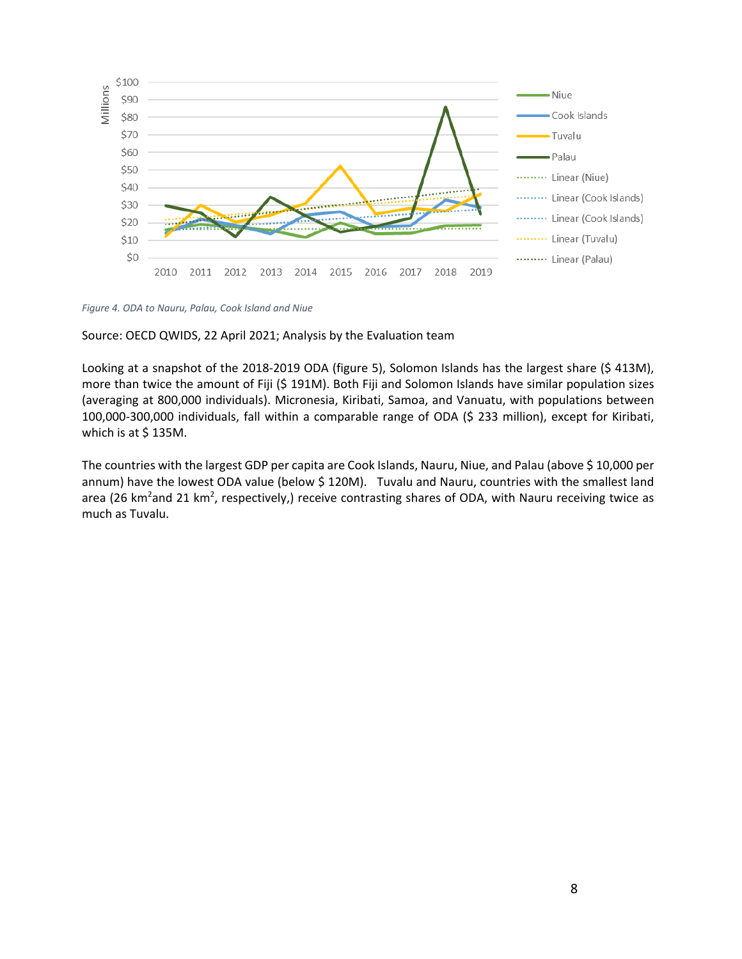

*Figure 4. ODA to Nauru, Palau, Cook Island and Niue*

Source: OECD QWIDS, 22 April 2021; Analysis by the Evaluation team

Looking at a snapshot of the 2018-2019 ODA (figure 5), Solomon Islands has the largest share (\$ 413M), more than twice the amount of Fiji (\$ 191M). Both Fiji and Solomon Islands have similar population sizes (averaging at 800,000 individuals). Micronesia, Kiribati, Samoa, and Vanuatu, with populations between 100,000-300,000 individuals, fall within a comparable range of ODA (\$ 233 million), except for Kiribati, which is at  $$135M$ .

The countries with the largest GDP per capita are Cook Islands, Nauru, Niue, and Palau (above \$ 10,000 per annum) have the lowest ODA value (below \$ 120M). Tuvalu and Nauru, countries with the smallest land area (26 km<sup>2</sup>and 21 km<sup>2</sup>, respectively,) receive contrasting shares of ODA, with Nauru receiving twice as much as Tuvalu.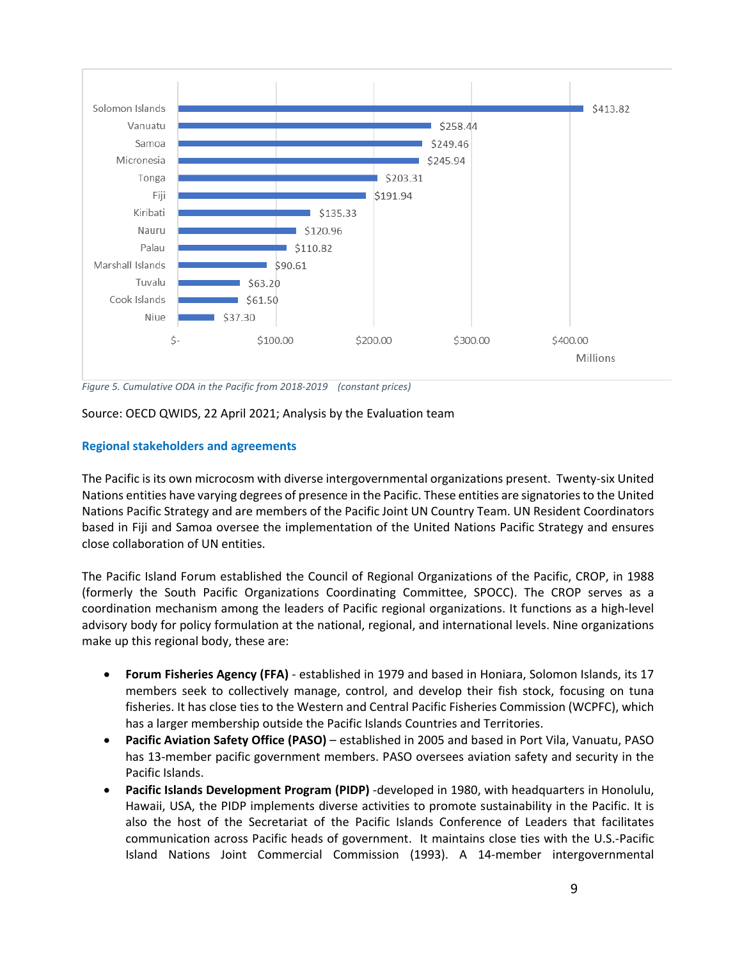

*Figure 5. Cumulative ODA in the Pacific from 2018-2019 (constant prices)*

Source: OECD QWIDS, 22 April 2021; Analysis by the Evaluation team

# **Regional stakeholders and agreements**

The Pacific is its own microcosm with diverse intergovernmental organizations present. Twenty-six United Nations entities have varying degrees of presence in the Pacific. These entities are signatories to the United Nations Pacific Strategy and are members of the Pacific Joint UN Country Team. UN Resident Coordinators based in Fiji and Samoa oversee the implementation of the United Nations Pacific Strategy and ensures close collaboration of UN entities.

The Pacific Island Forum established the Council of Regional Organizations of the Pacific, CROP, in 1988 (formerly the South Pacific Organizations Coordinating Committee, SPOCC). The CROP serves as a coordination mechanism among the leaders of Pacific regional organizations. It functions as a high-level advisory body for policy formulation at the national, regional, and international levels. Nine organizations make up this regional body, these are:

- **Forum Fisheries Agency (FFA)** established in 1979 and based in Honiara, Solomon Islands, its 17 members seek to collectively manage, control, and develop their fish stock, focusing on tuna fisheries. It has close ties to the Western and Central Pacific Fisheries Commission (WCPFC), which has a larger membership outside the Pacific Islands Countries and Territories.
- **Pacific Aviation Safety Office (PASO)** established in 2005 and based in Port Vila, Vanuatu, PASO has 13-member pacific government members. PASO oversees aviation safety and security in the Pacific Islands.
- **Pacific Islands Development Program (PIDP)** -developed in 1980, with headquarters in Honolulu, Hawaii, USA, the PIDP implements diverse activities to promote sustainability in the Pacific. It is also the host of the Secretariat of the Pacific Islands Conference of Leaders that facilitates communication across Pacific heads of government. It maintains close ties with the U.S.-Pacific Island Nations Joint Commercial Commission (1993). A 14-member intergovernmental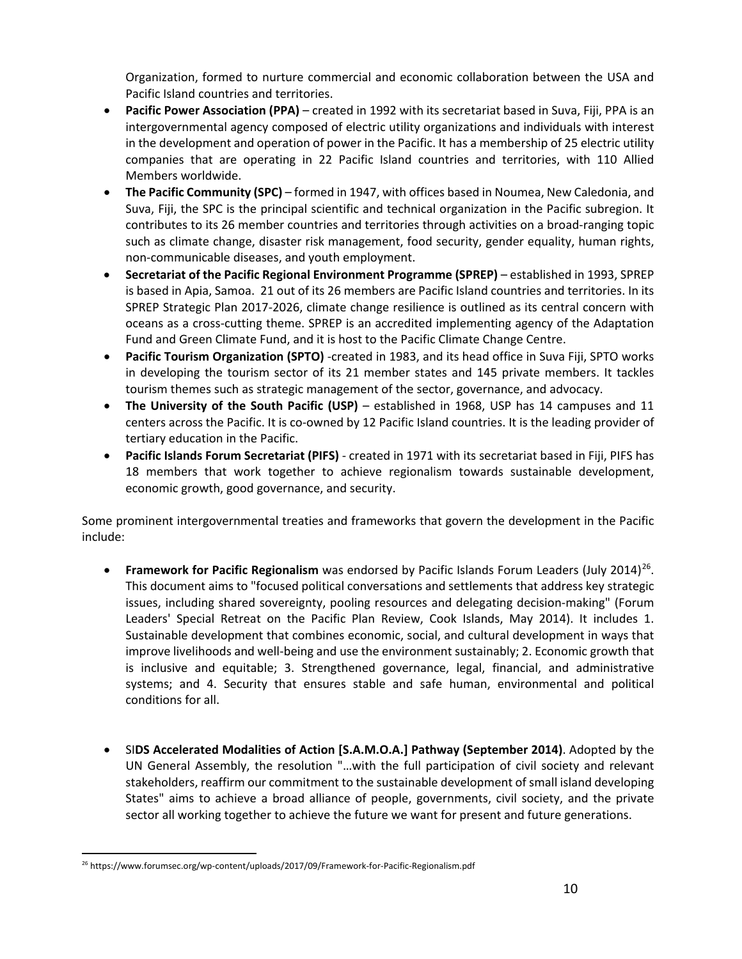Organization, formed to nurture commercial and economic collaboration between the USA and Pacific Island countries and territories.

- **Pacific Power Association (PPA)** created in 1992 with its secretariat based in Suva, Fiji, PPA is an intergovernmental agency composed of electric utility organizations and individuals with interest in the development and operation of power in the Pacific. It has a membership of 25 electric utility companies that are operating in 22 Pacific Island countries and territories, with 110 Allied Members worldwide.
- **The Pacific Community (SPC)** formed in 1947, with offices based in Noumea, New Caledonia, and Suva, Fiji, the SPC is the principal scientific and technical organization in the Pacific subregion. It contributes to its 26 member countries and territories through activities on a broad-ranging topic such as climate change, disaster risk management, food security, gender equality, human rights, non-communicable diseases, and youth employment.
- **Secretariat of the Pacific Regional Environment Programme (SPREP)** established in 1993, SPREP is based in Apia, Samoa. 21 out of its 26 members are Pacific Island countries and territories. In its SPREP Strategic Plan 2017-2026, climate change resilience is outlined as its central concern with oceans as a cross-cutting theme. SPREP is an accredited implementing agency of the Adaptation Fund and Green Climate Fund, and it is host to the Pacific Climate Change Centre.
- **Pacific Tourism Organization (SPTO)** -created in 1983, and its head office in Suva Fiji, SPTO works in developing the tourism sector of its 21 member states and 145 private members. It tackles tourism themes such as strategic management of the sector, governance, and advocacy.
- **The University of the South Pacific (USP)** established in 1968, USP has 14 campuses and 11 centers across the Pacific. It is co-owned by 12 Pacific Island countries. It is the leading provider of tertiary education in the Pacific.
- **Pacific Islands Forum Secretariat (PIFS)** created in 1971 with its secretariat based in Fiji, PIFS has 18 members that work together to achieve regionalism towards sustainable development, economic growth, good governance, and security.

Some prominent intergovernmental treaties and frameworks that govern the development in the Pacific include:

- **Framework for Pacific Regionalism** was endorsed by Pacific Islands Forum Leaders (July 2014)<sup>[26](#page-8-0)</sup>. This document aims to "focused political conversations and settlements that address key strategic issues, including shared sovereignty, pooling resources and delegating decision-making" (Forum Leaders' Special Retreat on the Pacific Plan Review, Cook Islands, May 2014). It includes 1. Sustainable development that combines economic, social, and cultural development in ways that improve livelihoods and well-being and use the environment sustainably; 2. Economic growth that is inclusive and equitable; 3. Strengthened governance, legal, financial, and administrative systems; and 4. Security that ensures stable and safe human, environmental and political conditions for all.
- SI**DS Accelerated Modalities of Action [S.A.M.O.A.] Pathway (September 2014)**. Adopted by the UN General Assembly, the resolution "…with the full participation of civil society and relevant stakeholders, reaffirm our commitment to the sustainable development of small island developing States" aims to achieve a broad alliance of people, governments, civil society, and the private sector all working together to achieve the future we want for present and future generations.

<span id="page-8-0"></span>l <sup>26</sup> https://www.forumsec.org/wp-content/uploads/2017/09/Framework-for-Pacific-Regionalism.pdf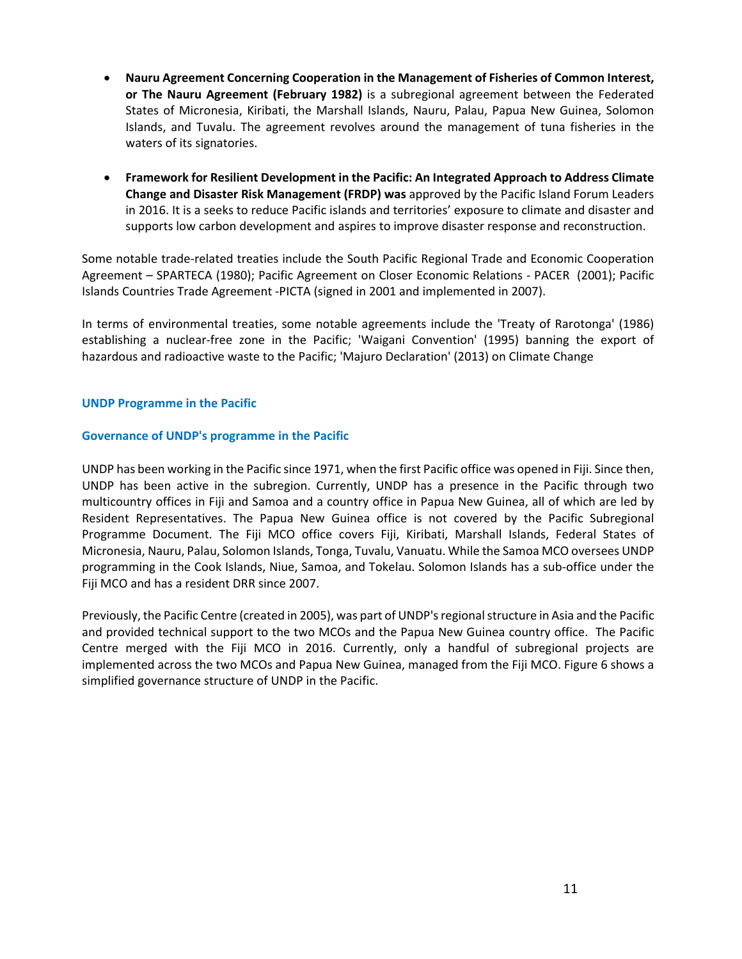- **Nauru Agreement Concerning Cooperation in the Management of Fisheries of Common Interest, or The Nauru Agreement (February 1982)** is a subregional agreement between the Federated States of Micronesia, Kiribati, the Marshall Islands, Nauru, Palau, Papua New Guinea, Solomon Islands, and Tuvalu. The agreement revolves around the management of tuna fisheries in the waters of its signatories.
- **Framework for Resilient Development in the Pacific: An Integrated Approach to Address Climate Change and Disaster Risk Management (FRDP) was** approved by the Pacific Island Forum Leaders in 2016. It is a seeks to reduce Pacific islands and territories' exposure to climate and disaster and supports low carbon development and aspires to improve disaster response and reconstruction.

Some notable trade-related treaties include the South Pacific Regional Trade and Economic Cooperation Agreement – SPARTECA (1980); Pacific Agreement on Closer Economic Relations - PACER (2001); Pacific Islands Countries Trade Agreement -PICTA (signed in 2001 and implemented in 2007).

In terms of environmental treaties, some notable agreements include the 'Treaty of Rarotonga' (1986) establishing a nuclear-free zone in the Pacific; 'Waigani Convention' (1995) banning the export of hazardous and radioactive waste to the Pacific; 'Majuro Declaration' (2013) on Climate Change

#### **UNDP Programme in the Pacific**

#### **Governance of UNDP's programme in the Pacific**

UNDP has been working in the Pacific since 1971, when the first Pacific office was opened in Fiji. Since then, UNDP has been active in the subregion. Currently, UNDP has a presence in the Pacific through two multicountry offices in Fiji and Samoa and a country office in Papua New Guinea, all of which are led by Resident Representatives. The Papua New Guinea office is not covered by the Pacific Subregional Programme Document. The Fiji MCO office covers Fiji, Kiribati, Marshall Islands, Federal States of Micronesia, Nauru, Palau, Solomon Islands, Tonga, Tuvalu, Vanuatu. While the Samoa MCO oversees UNDP programming in the Cook Islands, Niue, Samoa, and Tokelau. Solomon Islands has a sub-office under the Fiji MCO and has a resident DRR since 2007.

Previously, the Pacific Centre (created in 2005), was part of UNDP's regional structure in Asia and the Pacific and provided technical support to the two MCOs and the Papua New Guinea country office. The Pacific Centre merged with the Fiji MCO in 2016. Currently, only a handful of subregional projects are implemented across the two MCOs and Papua New Guinea, managed from the Fiji MCO. Figure 6 shows a simplified governance structure of UNDP in the Pacific.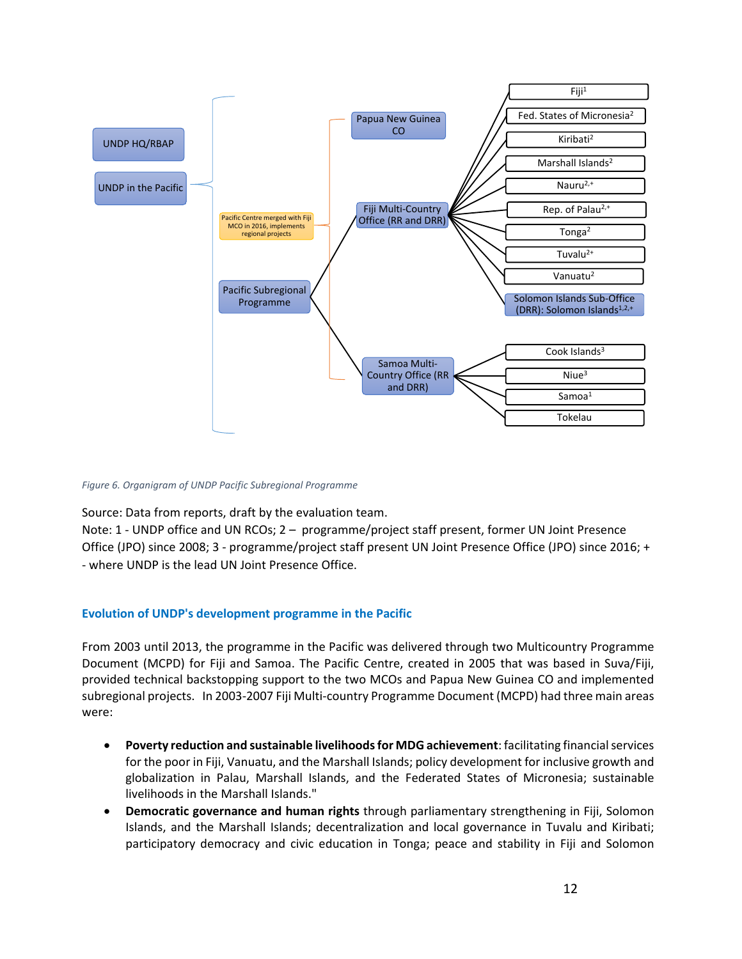

*Figure 6. Organigram of UNDP Pacific Subregional Programme*

Source: Data from reports, draft by the evaluation team.

Note: 1 - UNDP office and UN RCOs; 2 – programme/project staff present, former UN Joint Presence Office (JPO) since 2008; 3 - programme/project staff present UN Joint Presence Office (JPO) since 2016; + - where UNDP is the lead UN Joint Presence Office.

# **Evolution of UNDP's development programme in the Pacific**

From 2003 until 2013, the programme in the Pacific was delivered through two Multicountry Programme Document (MCPD) for Fiji and Samoa. The Pacific Centre, created in 2005 that was based in Suva/Fiji, provided technical backstopping support to the two MCOs and Papua New Guinea CO and implemented subregional projects. In 2003-2007 Fiji Multi-country Programme Document (MCPD) had three main areas were:

- **Poverty reduction and sustainable livelihoods for MDG achievement**: facilitating financial services for the poor in Fiji, Vanuatu, and the Marshall Islands; policy development for inclusive growth and globalization in Palau, Marshall Islands, and the Federated States of Micronesia; sustainable livelihoods in the Marshall Islands."
- **Democratic governance and human rights** through parliamentary strengthening in Fiji, Solomon Islands, and the Marshall Islands; decentralization and local governance in Tuvalu and Kiribati; participatory democracy and civic education in Tonga; peace and stability in Fiji and Solomon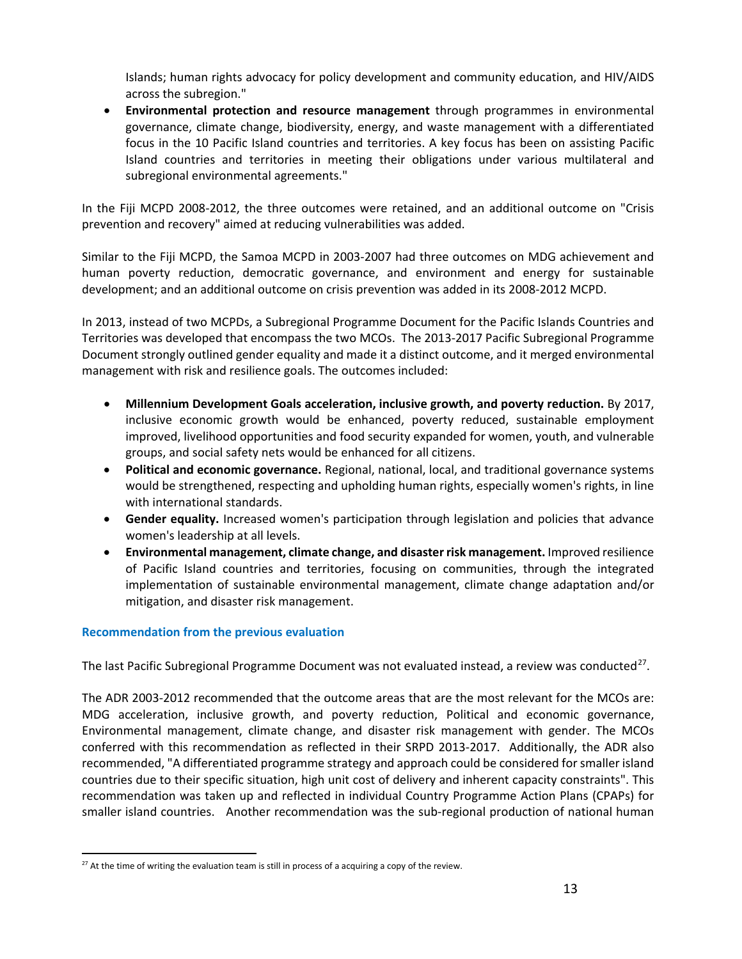Islands; human rights advocacy for policy development and community education, and HIV/AIDS across the subregion."

• **Environmental protection and resource management** through programmes in environmental governance, climate change, biodiversity, energy, and waste management with a differentiated focus in the 10 Pacific Island countries and territories. A key focus has been on assisting Pacific Island countries and territories in meeting their obligations under various multilateral and subregional environmental agreements."

In the Fiji MCPD 2008-2012, the three outcomes were retained, and an additional outcome on "Crisis prevention and recovery" aimed at reducing vulnerabilities was added.

Similar to the Fiji MCPD, the Samoa MCPD in 2003-2007 had three outcomes on MDG achievement and human poverty reduction, democratic governance, and environment and energy for sustainable development; and an additional outcome on crisis prevention was added in its 2008-2012 MCPD.

In 2013, instead of two MCPDs, a Subregional Programme Document for the Pacific Islands Countries and Territories was developed that encompass the two MCOs. The 2013-2017 Pacific Subregional Programme Document strongly outlined gender equality and made it a distinct outcome, and it merged environmental management with risk and resilience goals. The outcomes included:

- **Millennium Development Goals acceleration, inclusive growth, and poverty reduction.** By 2017, inclusive economic growth would be enhanced, poverty reduced, sustainable employment improved, livelihood opportunities and food security expanded for women, youth, and vulnerable groups, and social safety nets would be enhanced for all citizens.
- **Political and economic governance.** Regional, national, local, and traditional governance systems would be strengthened, respecting and upholding human rights, especially women's rights, in line with international standards.
- **Gender equality.** Increased women's participation through legislation and policies that advance women's leadership at all levels.
- **Environmental management, climate change, and disaster risk management.** Improved resilience of Pacific Island countries and territories, focusing on communities, through the integrated implementation of sustainable environmental management, climate change adaptation and/or mitigation, and disaster risk management.

# **Recommendation from the previous evaluation**

l

The last Pacific Subregional Programme Document was not evaluated instead, a review was conducted<sup>27</sup>.

The ADR 2003-2012 recommended that the outcome areas that are the most relevant for the MCOs are: MDG acceleration, inclusive growth, and poverty reduction, Political and economic governance, Environmental management, climate change, and disaster risk management with gender. The MCOs conferred with this recommendation as reflected in their SRPD 2013-2017. Additionally, the ADR also recommended, "A differentiated programme strategy and approach could be considered for smaller island countries due to their specific situation, high unit cost of delivery and inherent capacity constraints". This recommendation was taken up and reflected in individual Country Programme Action Plans (CPAPs) for smaller island countries. Another recommendation was the sub-regional production of national human

<span id="page-11-0"></span> $27$  At the time of writing the evaluation team is still in process of a acquiring a copy of the review.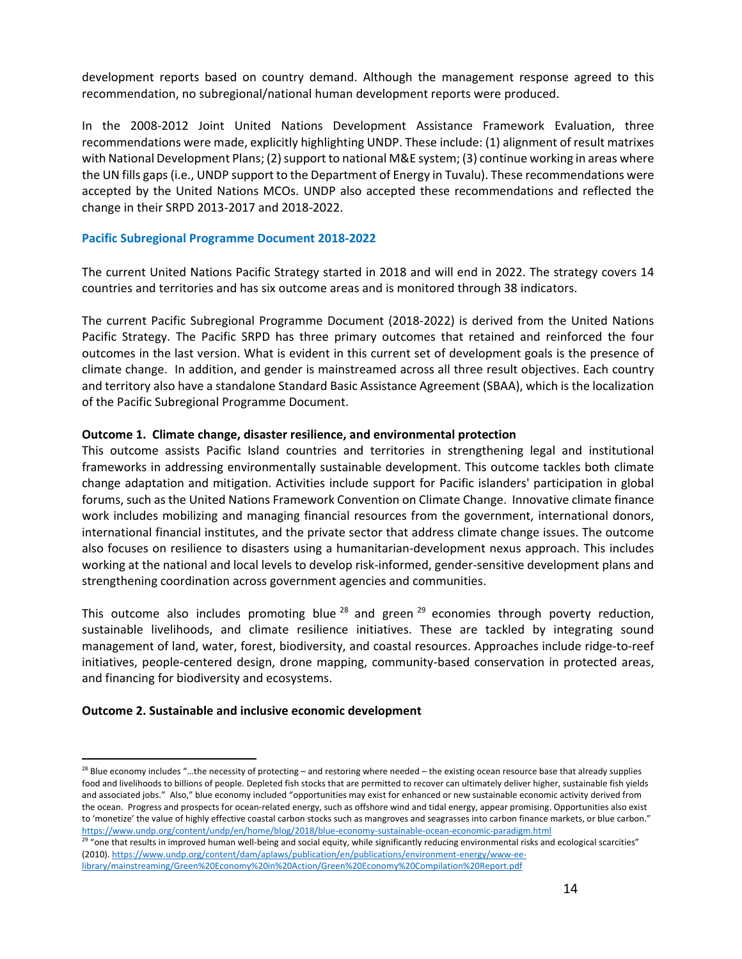development reports based on country demand. Although the management response agreed to this recommendation, no subregional/national human development reports were produced.

In the 2008-2012 Joint United Nations Development Assistance Framework Evaluation, three recommendations were made, explicitly highlighting UNDP. These include: (1) alignment of result matrixes with National Development Plans; (2) support to national M&E system; (3) continue working in areas where the UN fills gaps (i.e., UNDP support to the Department of Energy in Tuvalu). These recommendations were accepted by the United Nations MCOs. UNDP also accepted these recommendations and reflected the change in their SRPD 2013-2017 and 2018-2022.

#### **Pacific Subregional Programme Document 2018-2022**

The current United Nations Pacific Strategy started in 2018 and will end in 2022. The strategy covers 14 countries and territories and has six outcome areas and is monitored through 38 indicators.

The current Pacific Subregional Programme Document (2018-2022) is derived from the United Nations Pacific Strategy. The Pacific SRPD has three primary outcomes that retained and reinforced the four outcomes in the last version. What is evident in this current set of development goals is the presence of climate change. In addition, and gender is mainstreamed across all three result objectives. Each country and territory also have a standalone Standard Basic Assistance Agreement (SBAA), which is the localization of the Pacific Subregional Programme Document.

#### **Outcome 1. Climate change, disaster resilience, and environmental protection**

This outcome assists Pacific Island countries and territories in strengthening legal and institutional frameworks in addressing environmentally sustainable development. This outcome tackles both climate change adaptation and mitigation. Activities include support for Pacific islanders' participation in global forums, such as the United Nations Framework Convention on Climate Change. Innovative climate finance work includes mobilizing and managing financial resources from the government, international donors, international financial institutes, and the private sector that address climate change issues. The outcome also focuses on resilience to disasters using a humanitarian-development nexus approach. This includes working at the national and local levels to develop risk-informed, gender-sensitive development plans and strengthening coordination across government agencies and communities.

This outcome also includes promoting blue  $^{28}$  $^{28}$  $^{28}$  and green  $^{29}$  $^{29}$  $^{29}$  economies through poverty reduction, sustainable livelihoods, and climate resilience initiatives. These are tackled by integrating sound management of land, water, forest, biodiversity, and coastal resources. Approaches include ridge-to-reef initiatives, people-centered design, drone mapping, community-based conservation in protected areas, and financing for biodiversity and ecosystems.

#### **Outcome 2. Sustainable and inclusive economic development**

 $\overline{a}$ 

<span id="page-12-0"></span> $^{28}$  Blue economy includes "...the necessity of protecting – and restoring where needed – the existing ocean resource base that already supplies food and livelihoods to billions of people. Depleted fish stocks that are permitted to recover can ultimately deliver higher, sustainable fish yields and associated jobs." Also," blue economy included "opportunities may exist for enhanced or new sustainable economic activity derived from the ocean. Progress and prospects for ocean-related energy, such as offshore wind and tidal energy, appear promising. Opportunities also exist to 'monetize' the value of highly effective coastal carbon stocks such as mangroves and seagrasses into carbon finance markets, or blue carbon."

<span id="page-12-1"></span>https://www.undp.org/content/undp/en/home/blog/2018/blue-economy-sustainable-ocean-economic-paradigm.html<br><sup>29</sup> "one that results in improved human well-being and social equity, while significantly reducing environmental ri (2010)[. https://www.undp.org/content/dam/aplaws/publication/en/publications/environment-energy/www-ee](https://www.undp.org/content/dam/aplaws/publication/en/publications/environment-energy/www-ee-library/mainstreaming/Green%20Economy%20in%20Action/Green%20Economy%20Compilation%20Report.pdf)[library/mainstreaming/Green%20Economy%20in%20Action/Green%20Economy%20Compilation%20Report.pdf](https://www.undp.org/content/dam/aplaws/publication/en/publications/environment-energy/www-ee-library/mainstreaming/Green%20Economy%20in%20Action/Green%20Economy%20Compilation%20Report.pdf)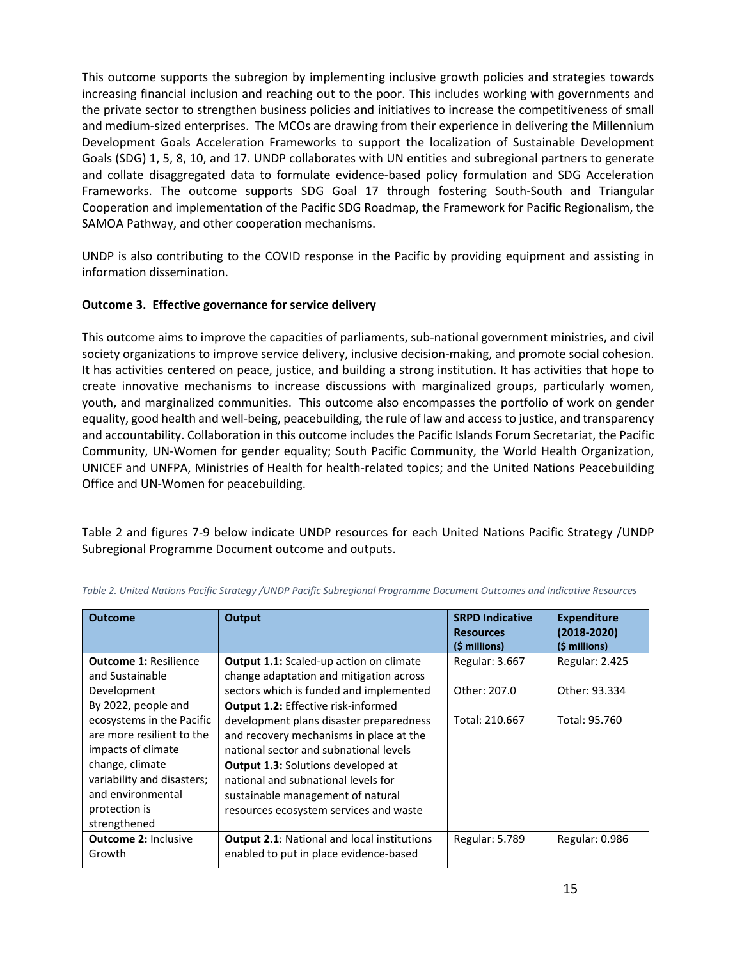This outcome supports the subregion by implementing inclusive growth policies and strategies towards increasing financial inclusion and reaching out to the poor. This includes working with governments and the private sector to strengthen business policies and initiatives to increase the competitiveness of small and medium-sized enterprises. The MCOs are drawing from their experience in delivering the Millennium Development Goals Acceleration Frameworks to support the localization of Sustainable Development Goals (SDG) 1, 5, 8, 10, and 17. UNDP collaborates with UN entities and subregional partners to generate and collate disaggregated data to formulate evidence-based policy formulation and SDG Acceleration Frameworks. The outcome supports SDG Goal 17 through fostering South-South and Triangular Cooperation and implementation of the Pacific SDG Roadmap, the Framework for Pacific Regionalism, the SAMOA Pathway, and other cooperation mechanisms.

UNDP is also contributing to the COVID response in the Pacific by providing equipment and assisting in information dissemination.

# **Outcome 3. Effective governance for service delivery**

This outcome aims to improve the capacities of parliaments, sub-national government ministries, and civil society organizations to improve service delivery, inclusive decision-making, and promote social cohesion. It has activities centered on peace, justice, and building a strong institution. It has activities that hope to create innovative mechanisms to increase discussions with marginalized groups, particularly women, youth, and marginalized communities. This outcome also encompasses the portfolio of work on gender equality, good health and well-being, peacebuilding, the rule of law and access to justice, and transparency and accountability. Collaboration in this outcome includes the Pacific Islands Forum Secretariat, the Pacific Community, UN-Women for gender equality; South Pacific Community, the World Health Organization, UNICEF and UNFPA, Ministries of Health for health-related topics; and the United Nations Peacebuilding Office and UN-Women for peacebuilding.

Table 2 and figures 7-9 below indicate UNDP resources for each United Nations Pacific Strategy /UNDP Subregional Programme Document outcome and outputs.

| <b>Outcome</b>               | Output                                             | <b>SRPD Indicative</b><br><b>Resources</b><br>(\$ millions) | <b>Expenditure</b><br>$(2018 - 2020)$<br>(\$ millions) |
|------------------------------|----------------------------------------------------|-------------------------------------------------------------|--------------------------------------------------------|
| <b>Outcome 1: Resilience</b> | Output 1.1: Scaled-up action on climate            | Regular: 3.667                                              | Regular: 2.425                                         |
| and Sustainable              | change adaptation and mitigation across            |                                                             |                                                        |
| Development                  | sectors which is funded and implemented            | Other: 207.0                                                | Other: 93.334                                          |
| By 2022, people and          | <b>Output 1.2: Effective risk-informed</b>         |                                                             |                                                        |
| ecosystems in the Pacific    | development plans disaster preparedness            | Total: 210.667                                              | Total: 95.760                                          |
| are more resilient to the    | and recovery mechanisms in place at the            |                                                             |                                                        |
| impacts of climate           | national sector and subnational levels             |                                                             |                                                        |
| change, climate              | <b>Output 1.3: Solutions developed at</b>          |                                                             |                                                        |
| variability and disasters;   | national and subnational levels for                |                                                             |                                                        |
| and environmental            | sustainable management of natural                  |                                                             |                                                        |
| protection is                | resources ecosystem services and waste             |                                                             |                                                        |
| strengthened                 |                                                    |                                                             |                                                        |
| <b>Outcome 2: Inclusive</b>  | <b>Output 2.1: National and local institutions</b> | Regular: 5.789                                              | <b>Regular: 0.986</b>                                  |
| Growth                       | enabled to put in place evidence-based             |                                                             |                                                        |

|  |  | Table 2. United Nations Pacific Strategy /UNDP Pacific Subregional Programme Document Outcomes and Indicative Resources |
|--|--|-------------------------------------------------------------------------------------------------------------------------|
|--|--|-------------------------------------------------------------------------------------------------------------------------|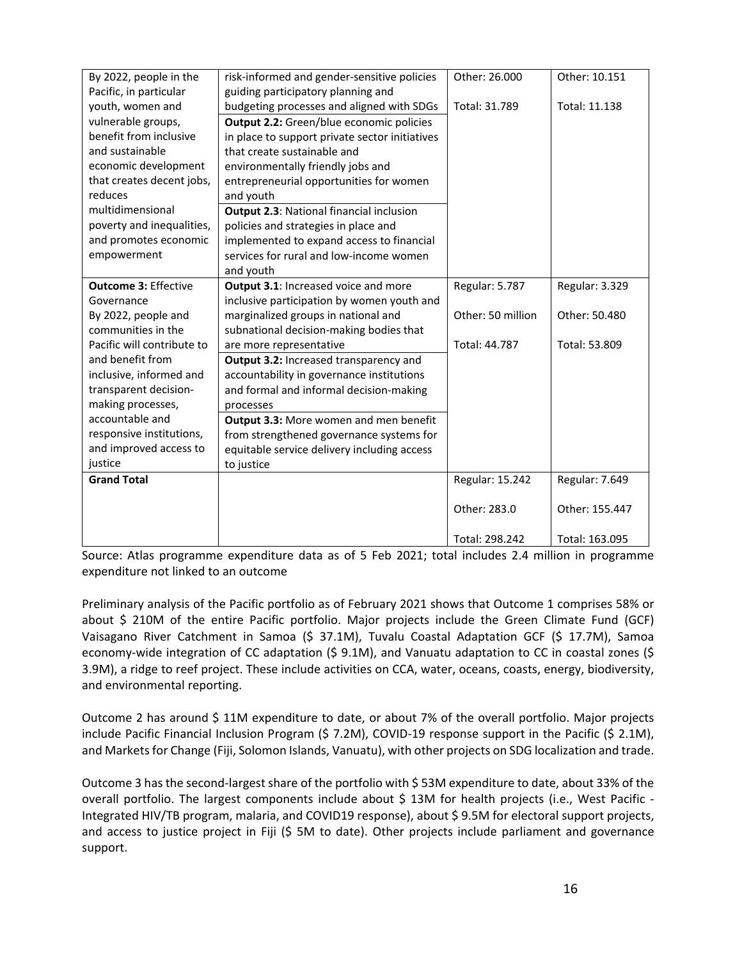| By 2022, people in the      | risk-informed and gender-sensitive policies     | Other: 26.000     | Other: 10.151  |
|-----------------------------|-------------------------------------------------|-------------------|----------------|
| Pacific, in particular      | guiding participatory planning and              |                   |                |
| youth, women and            | budgeting processes and aligned with SDGs       | Total: 31.789     | Total: 11.138  |
| vulnerable groups,          | <b>Output 2.2:</b> Green/blue economic policies |                   |                |
| benefit from inclusive      | in place to support private sector initiatives  |                   |                |
| and sustainable             | that create sustainable and                     |                   |                |
| economic development        | environmentally friendly jobs and               |                   |                |
| that creates decent jobs,   | entrepreneurial opportunities for women         |                   |                |
| reduces                     | and youth                                       |                   |                |
| multidimensional            | <b>Output 2.3: National financial inclusion</b> |                   |                |
| poverty and inequalities,   | policies and strategies in place and            |                   |                |
| and promotes economic       | implemented to expand access to financial       |                   |                |
| empowerment                 | services for rural and low-income women         |                   |                |
|                             | and youth                                       |                   |                |
| <b>Outcome 3: Effective</b> | Output 3.1: Increased voice and more            | Regular: 5.787    | Regular: 3.329 |
| Governance                  | inclusive participation by women youth and      |                   |                |
| By 2022, people and         | marginalized groups in national and             | Other: 50 million | Other: 50.480  |
| communities in the          | subnational decision-making bodies that         |                   |                |
| Pacific will contribute to  | are more representative                         | Total: 44.787     | Total: 53.809  |
| and benefit from            | Output 3.2: Increased transparency and          |                   |                |
| inclusive, informed and     | accountability in governance institutions       |                   |                |
| transparent decision-       | and formal and informal decision-making         |                   |                |
| making processes,           | processes                                       |                   |                |
| accountable and             | Output 3.3: More women and men benefit          |                   |                |
| responsive institutions,    | from strengthened governance systems for        |                   |                |
| and improved access to      | equitable service delivery including access     |                   |                |
| justice                     | to justice                                      |                   |                |
| <b>Grand Total</b>          |                                                 | Regular: 15.242   | Regular: 7.649 |
|                             |                                                 |                   |                |
|                             |                                                 | Other: 283.0      | Other: 155.447 |
|                             |                                                 |                   |                |
|                             |                                                 | Total: 298.242    | Total: 163.095 |

Source: Atlas programme expenditure data as of 5 Feb 2021; total includes 2.4 million in programme expenditure not linked to an outcome

Preliminary analysis of the Pacific portfolio as of February 2021 shows that Outcome 1 comprises 58% or about \$ 210M of the entire Pacific portfolio. Major projects include the Green Climate Fund (GCF) Vaisagano River Catchment in Samoa (\$ 37.1M), Tuvalu Coastal Adaptation GCF (\$ 17.7M), Samoa economy-wide integration of CC adaptation (\$ 9.1M), and Vanuatu adaptation to CC in coastal zones (\$ 3.9M), a ridge to reef project. These include activities on CCA, water, oceans, coasts, energy, biodiversity, and environmental reporting.

Outcome 2 has around \$ 11M expenditure to date, or about 7% of the overall portfolio. Major projects include Pacific Financial Inclusion Program (\$ 7.2M), COVID-19 response support in the Pacific (\$ 2.1M), and Markets for Change (Fiji, Solomon Islands, Vanuatu), with other projects on SDG localization and trade.

Outcome 3 has the second-largest share of the portfolio with \$ 53M expenditure to date, about 33% of the overall portfolio. The largest components include about \$ 13M for health projects (i.e., West Pacific - Integrated HIV/TB program, malaria, and COVID19 response), about \$ 9.5M for electoral support projects, and access to justice project in Fiji (\$ 5M to date). Other projects include parliament and governance support.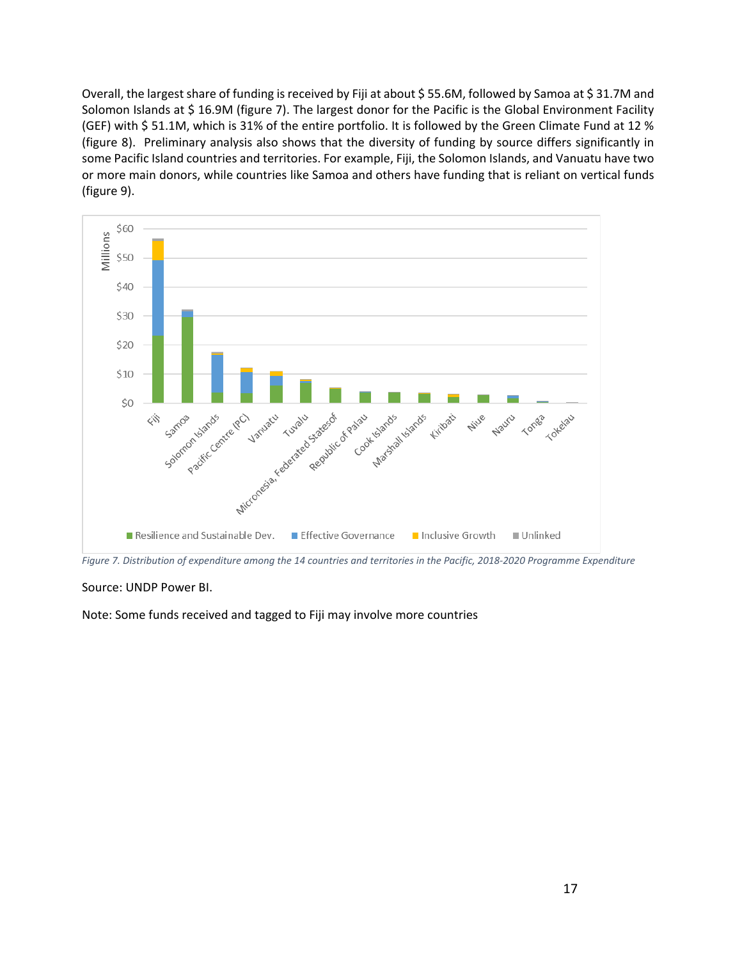Overall, the largest share of funding is received by Fiji at about \$55.6M, followed by Samoa at \$31.7M and Solomon Islands at \$ 16.9M (figure 7). The largest donor for the Pacific is the Global Environment Facility (GEF) with \$ 51.1M, which is 31% of the entire portfolio. It is followed by the Green Climate Fund at 12 % (figure 8). Preliminary analysis also shows that the diversity of funding by source differs significantly in some Pacific Island countries and territories. For example, Fiji, the Solomon Islands, and Vanuatu have two or more main donors, while countries like Samoa and others have funding that is reliant on vertical funds (figure 9).



*Figure 7. Distribution of expenditure among the 14 countries and territories in the Pacific, 2018-2020 Programme Expenditure*

#### Source: UNDP Power BI.

Note: Some funds received and tagged to Fiji may involve more countries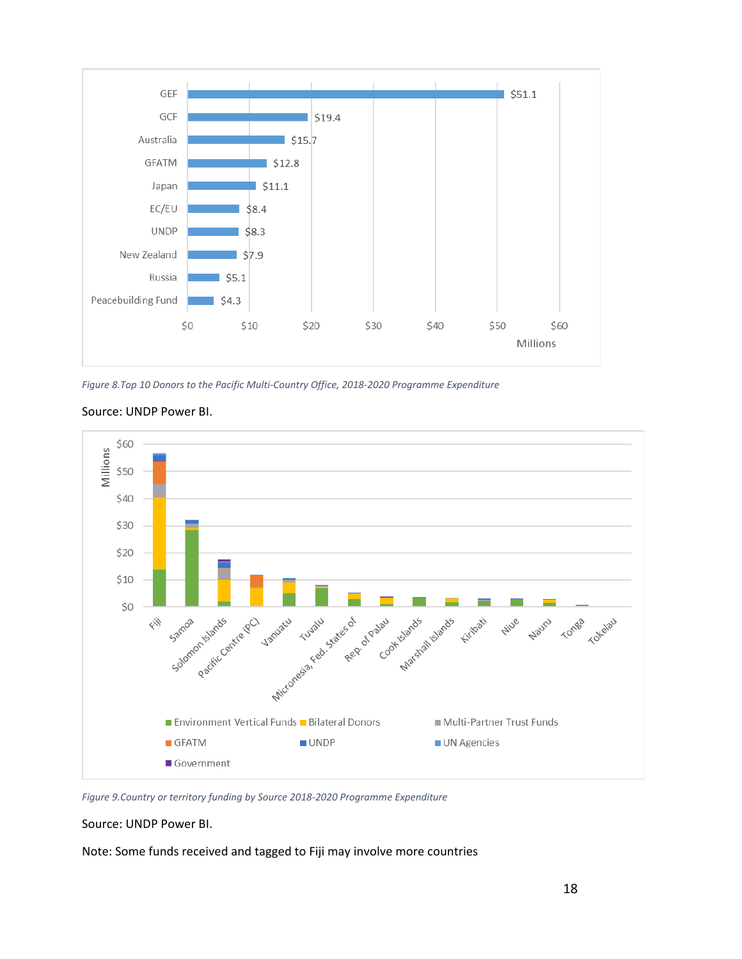

*Figure 8.Top 10 Donors to the Pacific Multi-Country Office, 2018-2020 Programme Expenditure*



#### Source: UNDP Power BI.

*Figure 9.Country or territory funding by Source 2018-2020 Programme Expenditure*

Source: UNDP Power BI.

Note: Some funds received and tagged to Fiji may involve more countries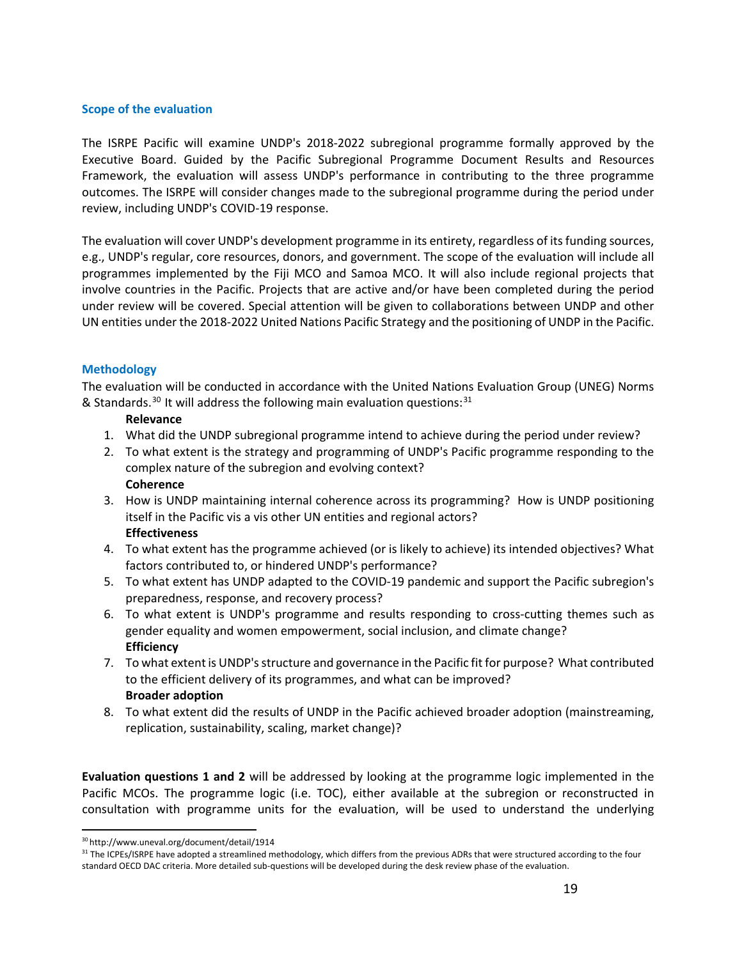# **Scope of the evaluation**

The ISRPE Pacific will examine UNDP's 2018-2022 subregional programme formally approved by the Executive Board. Guided by the Pacific Subregional Programme Document Results and Resources Framework, the evaluation will assess UNDP's performance in contributing to the three programme outcomes. The ISRPE will consider changes made to the subregional programme during the period under review, including UNDP's COVID-19 response.

The evaluation will cover UNDP's development programme in its entirety, regardless of its funding sources, e.g., UNDP's regular, core resources, donors, and government. The scope of the evaluation will include all programmes implemented by the Fiji MCO and Samoa MCO. It will also include regional projects that involve countries in the Pacific. Projects that are active and/or have been completed during the period under review will be covered. Special attention will be given to collaborations between UNDP and other UN entities under the 2018-2022 United Nations Pacific Strategy and the positioning of UNDP in the Pacific.

# **Methodology**

The evaluation will be conducted in accordance with the United Nations Evaluation Group (UNEG) Norms & Standards.<sup>30</sup> It will address the following main evaluation questions:<sup>[31](#page-17-1)</sup>

# **Relevance**

- 1. What did the UNDP subregional programme intend to achieve during the period under review?
- 2. To what extent is the strategy and programming of UNDP's Pacific programme responding to the complex nature of the subregion and evolving context? **Coherence**
- 3. How is UNDP maintaining internal coherence across its programming? How is UNDP positioning itself in the Pacific vis a vis other UN entities and regional actors? **Effectiveness**
- 4. To what extent has the programme achieved (or is likely to achieve) its intended objectives? What factors contributed to, or hindered UNDP's performance?
- 5. To what extent has UNDP adapted to the COVID-19 pandemic and support the Pacific subregion's preparedness, response, and recovery process?
- 6. To what extent is UNDP's programme and results responding to cross-cutting themes such as gender equality and women empowerment, social inclusion, and climate change? **Efficiency**
- 7. To what extent is UNDP's structure and governance in the Pacific fit for purpose? What contributed to the efficient delivery of its programmes, and what can be improved? **Broader adoption**
- 8. To what extent did the results of UNDP in the Pacific achieved broader adoption (mainstreaming, replication, sustainability, scaling, market change)?

**Evaluation questions 1 and 2** will be addressed by looking at the programme logic implemented in the Pacific MCOs. The programme logic (i.e. TOC), either available at the subregion or reconstructed in consultation with programme units for the evaluation, will be used to understand the underlying

l

<span id="page-17-1"></span><span id="page-17-0"></span><sup>&</sup>lt;sup>30</sup> http://www.uneval.org/document/detail/1914<br><sup>31</sup> The ICPEs/ISRPE have adopted a streamlined methodology, which differs from the previous ADRs that were structured according to the four standard OECD DAC criteria. More detailed sub-questions will be developed during the desk review phase of the evaluation.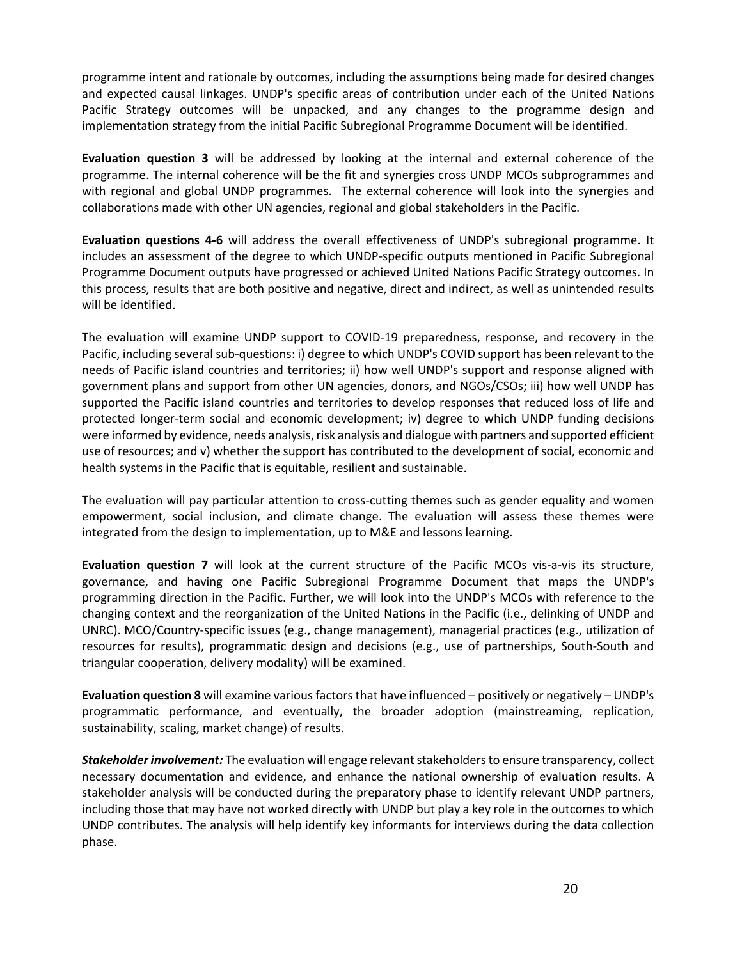programme intent and rationale by outcomes, including the assumptions being made for desired changes and expected causal linkages. UNDP's specific areas of contribution under each of the United Nations Pacific Strategy outcomes will be unpacked, and any changes to the programme design and implementation strategy from the initial Pacific Subregional Programme Document will be identified.

**Evaluation question 3** will be addressed by looking at the internal and external coherence of the programme. The internal coherence will be the fit and synergies cross UNDP MCOs subprogrammes and with regional and global UNDP programmes. The external coherence will look into the synergies and collaborations made with other UN agencies, regional and global stakeholders in the Pacific.

**Evaluation questions 4-6** will address the overall effectiveness of UNDP's subregional programme. It includes an assessment of the degree to which UNDP-specific outputs mentioned in Pacific Subregional Programme Document outputs have progressed or achieved United Nations Pacific Strategy outcomes. In this process, results that are both positive and negative, direct and indirect, as well as unintended results will be identified.

The evaluation will examine UNDP support to COVID-19 preparedness, response, and recovery in the Pacific, including several sub-questions: i) degree to which UNDP's COVID support has been relevant to the needs of Pacific island countries and territories; ii) how well UNDP's support and response aligned with government plans and support from other UN agencies, donors, and NGOs/CSOs; iii) how well UNDP has supported the Pacific island countries and territories to develop responses that reduced loss of life and protected longer-term social and economic development; iv) degree to which UNDP funding decisions were informed by evidence, needs analysis, risk analysis and dialogue with partners and supported efficient use of resources; and v) whether the support has contributed to the development of social, economic and health systems in the Pacific that is equitable, resilient and sustainable.

The evaluation will pay particular attention to cross-cutting themes such as gender equality and women empowerment, social inclusion, and climate change. The evaluation will assess these themes were integrated from the design to implementation, up to M&E and lessons learning.

**Evaluation question 7** will look at the current structure of the Pacific MCOs vis-a-vis its structure, governance, and having one Pacific Subregional Programme Document that maps the UNDP's programming direction in the Pacific. Further, we will look into the UNDP's MCOs with reference to the changing context and the reorganization of the United Nations in the Pacific (i.e., delinking of UNDP and UNRC). MCO/Country-specific issues (e.g., change management), managerial practices (e.g., utilization of resources for results), programmatic design and decisions (e.g., use of partnerships, South-South and triangular cooperation, delivery modality) will be examined.

**Evaluation question 8** will examine various factors that have influenced – positively or negatively – UNDP's programmatic performance, and eventually, the broader adoption (mainstreaming, replication, sustainability, scaling, market change) of results.

*Stakeholder involvement:* The evaluation will engage relevant stakeholders to ensure transparency, collect necessary documentation and evidence, and enhance the national ownership of evaluation results. A stakeholder analysis will be conducted during the preparatory phase to identify relevant UNDP partners, including those that may have not worked directly with UNDP but play a key role in the outcomes to which UNDP contributes. The analysis will help identify key informants for interviews during the data collection phase.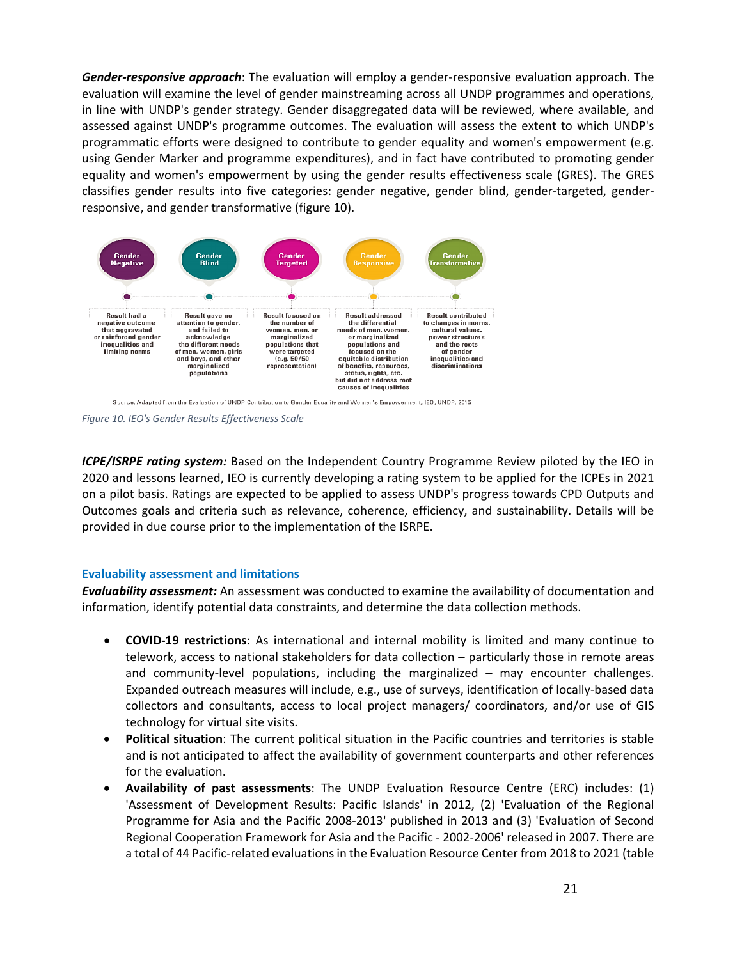*Gender-responsive approach*: The evaluation will employ a gender-responsive evaluation approach. The evaluation will examine the level of gender mainstreaming across all UNDP programmes and operations, in line with UNDP's gender strategy. Gender disaggregated data will be reviewed, where available, and assessed against UNDP's programme outcomes. The evaluation will assess the extent to which UNDP's programmatic efforts were designed to contribute to gender equality and women's empowerment (e.g. using Gender Marker and programme expenditures), and in fact have contributed to promoting gender equality and women's empowerment by using the gender results effectiveness scale (GRES). The GRES classifies gender results into five categories: gender negative, gender blind, gender-targeted, genderresponsive, and gender transformative (figure 10).



*Figure 10. IEO's Gender Results Effectiveness Scale*

*ICPE/ISRPE rating system:* Based on the Independent Country Programme Review piloted by the IEO in 2020 and lessons learned, IEO is currently developing a rating system to be applied for the ICPEs in 2021 on a pilot basis. Ratings are expected to be applied to assess UNDP's progress towards CPD Outputs and Outcomes goals and criteria such as relevance, coherence, efficiency, and sustainability. Details will be provided in due course prior to the implementation of the ISRPE.

#### **Evaluability assessment and limitations**

*Evaluability assessment:* An assessment was conducted to examine the availability of documentation and information, identify potential data constraints, and determine the data collection methods.

- **COVID-19 restrictions**: As international and internal mobility is limited and many continue to telework, access to national stakeholders for data collection – particularly those in remote areas and community-level populations, including the marginalized – may encounter challenges. Expanded outreach measures will include, e.g., use of surveys, identification of locally-based data collectors and consultants, access to local project managers/ coordinators, and/or use of GIS technology for virtual site visits.
- **Political situation**: The current political situation in the Pacific countries and territories is stable and is not anticipated to affect the availability of government counterparts and other references for the evaluation.
- **Availability of past assessments**: The UNDP Evaluation Resource Centre (ERC) includes: (1) 'Assessment of Development Results: Pacific Islands' in 2012, (2) 'Evaluation of the Regional Programme for Asia and the Pacific 2008-2013' published in 2013 and (3) 'Evaluation of Second Regional Cooperation Framework for Asia and the Pacific - 2002-2006' released in 2007. There are a total of 44 Pacific-related evaluations in the Evaluation Resource Center from 2018 to 2021 (table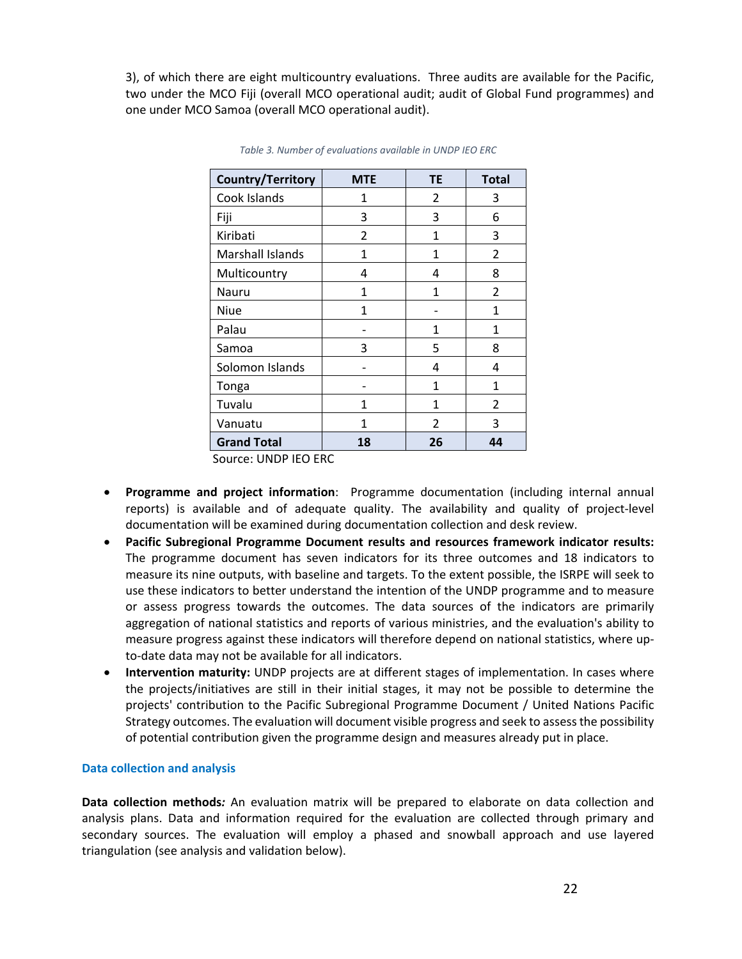3), of which there are eight multicountry evaluations. Three audits are available for the Pacific, two under the MCO Fiji (overall MCO operational audit; audit of Global Fund programmes) and one under MCO Samoa (overall MCO operational audit).

| Country/Territory  | <b>MTE</b>     | <b>TE</b>      | <b>Total</b>   |
|--------------------|----------------|----------------|----------------|
| Cook Islands       | 1              | $\overline{2}$ | 3              |
| Fiji               | 3              | 3              | 6              |
| Kiribati           | $\overline{2}$ | 1              | 3              |
| Marshall Islands   | 1              | 1              | 2              |
| Multicountry       | 4              | 4              | 8              |
| Nauru              | 1              | 1              | $\mathfrak{p}$ |
| Niue               | 1              |                | 1              |
| Palau              |                | 1              | 1              |
| Samoa              | 3              | 5              | 8              |
| Solomon Islands    |                | 4              | 4              |
| Tonga              |                | 1              | 1              |
| Tuvalu             | 1              | 1              | 2              |
| Vanuatu            | 1              | $\mathfrak{p}$ | 3              |
| <b>Grand Total</b> | 18             | 26             | 44             |

*Table 3. Number of evaluations available in UNDP IEO ERC*

Source: UNDP IEO ERC

- **Programme and project information**: Programme documentation (including internal annual reports) is available and of adequate quality. The availability and quality of project-level documentation will be examined during documentation collection and desk review.
- **Pacific Subregional Programme Document results and resources framework indicator results:**  The programme document has seven indicators for its three outcomes and 18 indicators to measure its nine outputs, with baseline and targets. To the extent possible, the ISRPE will seek to use these indicators to better understand the intention of the UNDP programme and to measure or assess progress towards the outcomes. The data sources of the indicators are primarily aggregation of national statistics and reports of various ministries, and the evaluation's ability to measure progress against these indicators will therefore depend on national statistics, where upto-date data may not be available for all indicators.
- **Intervention maturity:** UNDP projects are at different stages of implementation. In cases where the projects/initiatives are still in their initial stages, it may not be possible to determine the projects' contribution to the Pacific Subregional Programme Document / United Nations Pacific Strategy outcomes. The evaluation will document visible progress and seek to assess the possibility of potential contribution given the programme design and measures already put in place.

#### **Data collection and analysis**

**Data collection methods***:* An evaluation matrix will be prepared to elaborate on data collection and analysis plans. Data and information required for the evaluation are collected through primary and secondary sources. The evaluation will employ a phased and snowball approach and use layered triangulation (see analysis and validation below).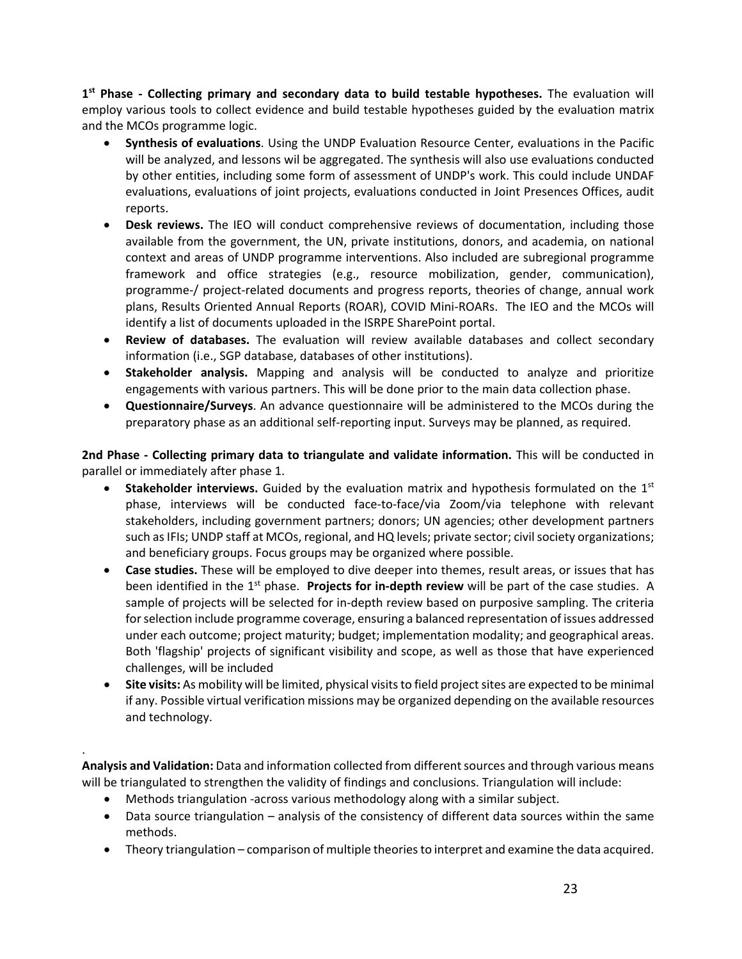**1st Phase - Collecting primary and secondary data to build testable hypotheses.** The evaluation will employ various tools to collect evidence and build testable hypotheses guided by the evaluation matrix and the MCOs programme logic.

- **Synthesis of evaluations**. Using the UNDP Evaluation Resource Center, evaluations in the Pacific will be analyzed, and lessons wil be aggregated. The synthesis will also use evaluations conducted by other entities, including some form of assessment of UNDP's work. This could include UNDAF evaluations, evaluations of joint projects, evaluations conducted in Joint Presences Offices, audit reports.
- **Desk reviews.** The IEO will conduct comprehensive reviews of documentation, including those available from the government, the UN, private institutions, donors, and academia, on national context and areas of UNDP programme interventions. Also included are subregional programme framework and office strategies (e.g., resource mobilization, gender, communication), programme-/ project-related documents and progress reports, theories of change, annual work plans, Results Oriented Annual Reports (ROAR), COVID Mini-ROARs. The IEO and the MCOs will identify a list of documents uploaded in the ISRPE SharePoint portal.
- **Review of databases.** The evaluation will review available databases and collect secondary information (i.e., SGP database, databases of other institutions).
- **Stakeholder analysis.** Mapping and analysis will be conducted to analyze and prioritize engagements with various partners. This will be done prior to the main data collection phase.
- **Questionnaire/Surveys**. An advance questionnaire will be administered to the MCOs during the preparatory phase as an additional self-reporting input. Surveys may be planned, as required.

**2nd Phase - Collecting primary data to triangulate and validate information.** This will be conducted in parallel or immediately after phase 1.

- **Stakeholder interviews.** Guided by the evaluation matrix and hypothesis formulated on the 1st phase, interviews will be conducted face-to-face/via Zoom/via telephone with relevant stakeholders, including government partners; donors; UN agencies; other development partners such as IFIs; UNDP staff at MCOs, regional, and HQ levels; private sector; civil society organizations; and beneficiary groups. Focus groups may be organized where possible.
- **Case studies.** These will be employed to dive deeper into themes, result areas, or issues that has been identified in the 1<sup>st</sup> phase. **Projects for in-depth review** will be part of the case studies. A sample of projects will be selected for in-depth review based on purposive sampling. The criteria for selection include programme coverage, ensuring a balanced representation of issues addressed under each outcome; project maturity; budget; implementation modality; and geographical areas. Both 'flagship' projects of significant visibility and scope, as well as those that have experienced challenges, will be included
- **Site visits:** As mobility will be limited, physical visits to field project sites are expected to be minimal if any. Possible virtual verification missions may be organized depending on the available resources and technology.

**Analysis and Validation:** Data and information collected from different sources and through various means will be triangulated to strengthen the validity of findings and conclusions. Triangulation will include:

• Methods triangulation -across various methodology along with a similar subject.

.

- Data source triangulation analysis of the consistency of different data sources within the same methods.
- Theory triangulation comparison of multiple theories to interpret and examine the data acquired.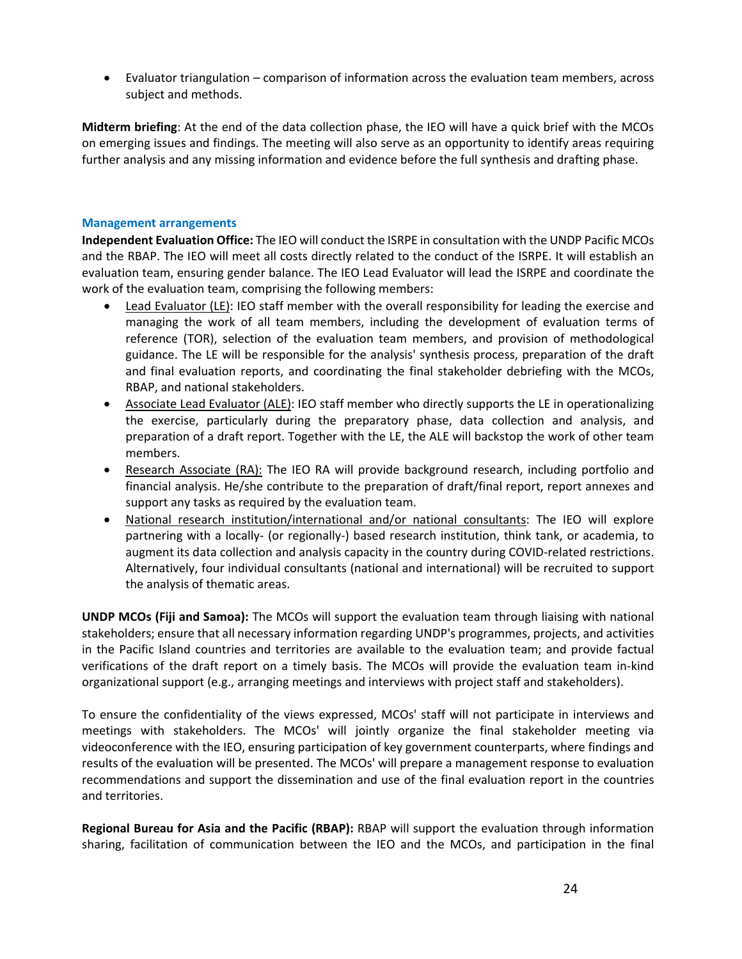• Evaluator triangulation – comparison of information across the evaluation team members, across subject and methods.

**Midterm briefing**: At the end of the data collection phase, the IEO will have a quick brief with the MCOs on emerging issues and findings. The meeting will also serve as an opportunity to identify areas requiring further analysis and any missing information and evidence before the full synthesis and drafting phase.

# **Management arrangements**

**Independent Evaluation Office:** The IEO will conduct the ISRPE in consultation with the UNDP Pacific MCOs and the RBAP. The IEO will meet all costs directly related to the conduct of the ISRPE. It will establish an evaluation team, ensuring gender balance. The IEO Lead Evaluator will lead the ISRPE and coordinate the work of the evaluation team, comprising the following members:

- Lead Evaluator (LE): IEO staff member with the overall responsibility for leading the exercise and managing the work of all team members, including the development of evaluation terms of reference (TOR), selection of the evaluation team members, and provision of methodological guidance. The LE will be responsible for the analysis' synthesis process, preparation of the draft and final evaluation reports, and coordinating the final stakeholder debriefing with the MCOs, RBAP, and national stakeholders.
- Associate Lead Evaluator (ALE): IEO staff member who directly supports the LE in operationalizing the exercise, particularly during the preparatory phase, data collection and analysis, and preparation of a draft report. Together with the LE, the ALE will backstop the work of other team members.
- Research Associate (RA): The IEO RA will provide background research, including portfolio and financial analysis. He/she contribute to the preparation of draft/final report, report annexes and support any tasks as required by the evaluation team.
- National research institution/international and/or national consultants: The IEO will explore partnering with a locally- (or regionally-) based research institution, think tank, or academia, to augment its data collection and analysis capacity in the country during COVID-related restrictions. Alternatively, four individual consultants (national and international) will be recruited to support the analysis of thematic areas.

**UNDP MCOs (Fiji and Samoa):** The MCOs will support the evaluation team through liaising with national stakeholders; ensure that all necessary information regarding UNDP's programmes, projects, and activities in the Pacific Island countries and territories are available to the evaluation team; and provide factual verifications of the draft report on a timely basis. The MCOs will provide the evaluation team in-kind organizational support (e.g., arranging meetings and interviews with project staff and stakeholders).

To ensure the confidentiality of the views expressed, MCOs' staff will not participate in interviews and meetings with stakeholders. The MCOs' will jointly organize the final stakeholder meeting via videoconference with the IEO, ensuring participation of key government counterparts, where findings and results of the evaluation will be presented. The MCOs' will prepare a management response to evaluation recommendations and support the dissemination and use of the final evaluation report in the countries and territories.

**Regional Bureau for Asia and the Pacific (RBAP):** RBAP will support the evaluation through information sharing, facilitation of communication between the IEO and the MCOs, and participation in the final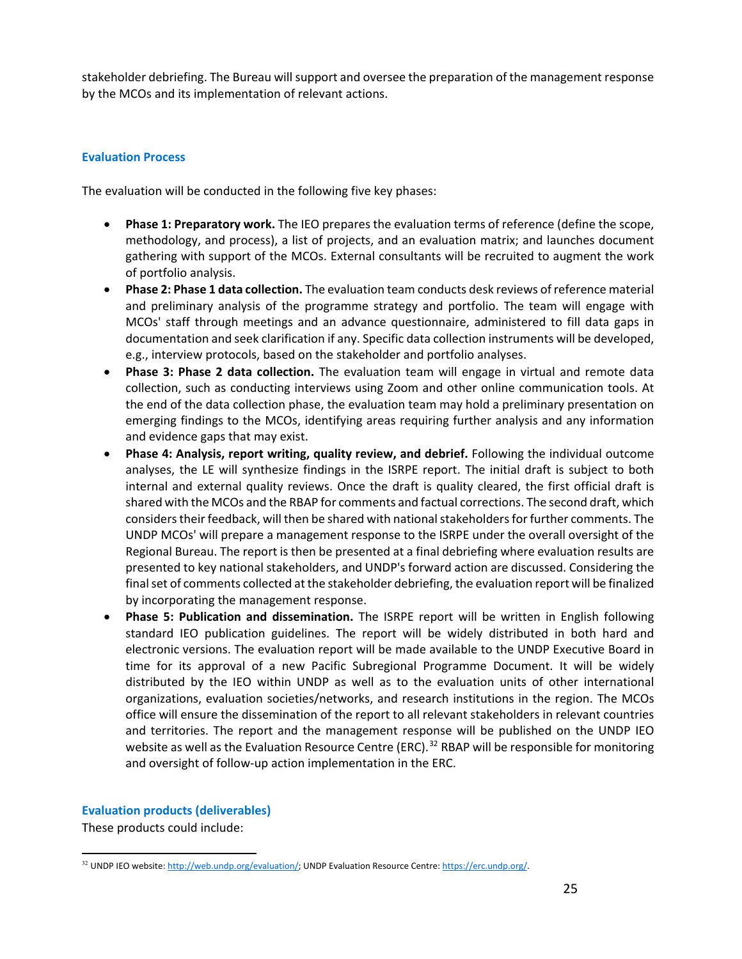stakeholder debriefing. The Bureau will support and oversee the preparation of the management response by the MCOs and its implementation of relevant actions.

# **Evaluation Process**

The evaluation will be conducted in the following five key phases:

- **Phase 1: Preparatory work.** The IEO prepares the evaluation terms of reference (define the scope, methodology, and process), a list of projects, and an evaluation matrix; and launches document gathering with support of the MCOs. External consultants will be recruited to augment the work of portfolio analysis.
- **Phase 2: Phase 1 data collection.** The evaluation team conducts desk reviews of reference material and preliminary analysis of the programme strategy and portfolio. The team will engage with MCOs' staff through meetings and an advance questionnaire, administered to fill data gaps in documentation and seek clarification if any. Specific data collection instruments will be developed, e.g., interview protocols, based on the stakeholder and portfolio analyses.
- **Phase 3: Phase 2 data collection.** The evaluation team will engage in virtual and remote data collection, such as conducting interviews using Zoom and other online communication tools. At the end of the data collection phase, the evaluation team may hold a preliminary presentation on emerging findings to the MCOs, identifying areas requiring further analysis and any information and evidence gaps that may exist.
- **Phase 4: Analysis, report writing, quality review, and debrief.** Following the individual outcome analyses, the LE will synthesize findings in the ISRPE report. The initial draft is subject to both internal and external quality reviews. Once the draft is quality cleared, the first official draft is shared with the MCOs and the RBAP for comments and factual corrections. The second draft, which considers their feedback, will then be shared with national stakeholders for further comments. The UNDP MCOs' will prepare a management response to the ISRPE under the overall oversight of the Regional Bureau. The report is then be presented at a final debriefing where evaluation results are presented to key national stakeholders, and UNDP's forward action are discussed. Considering the final set of comments collected at the stakeholder debriefing, the evaluation report will be finalized by incorporating the management response.
- **Phase 5: Publication and dissemination.** The ISRPE report will be written in English following standard IEO publication guidelines. The report will be widely distributed in both hard and electronic versions. The evaluation report will be made available to the UNDP Executive Board in time for its approval of a new Pacific Subregional Programme Document. It will be widely distributed by the IEO within UNDP as well as to the evaluation units of other international organizations, evaluation societies/networks, and research institutions in the region. The MCOs office will ensure the dissemination of the report to all relevant stakeholders in relevant countries and territories. The report and the management response will be published on the UNDP IEO website as well as the Evaluation Resource Centre (ERC).<sup>[32](#page-23-0)</sup> RBAP will be responsible for monitoring and oversight of follow-up action implementation in the ERC.

# **Evaluation products (deliverables)**

These products could include:

<span id="page-23-0"></span>l <sup>32</sup> UNDP IEO website[: http://web.undp.org/evaluation/;](http://web.undp.org/evaluation/) UNDP Evaluation Resource Centre[: https://erc.undp.org/.](https://erc.undp.org/)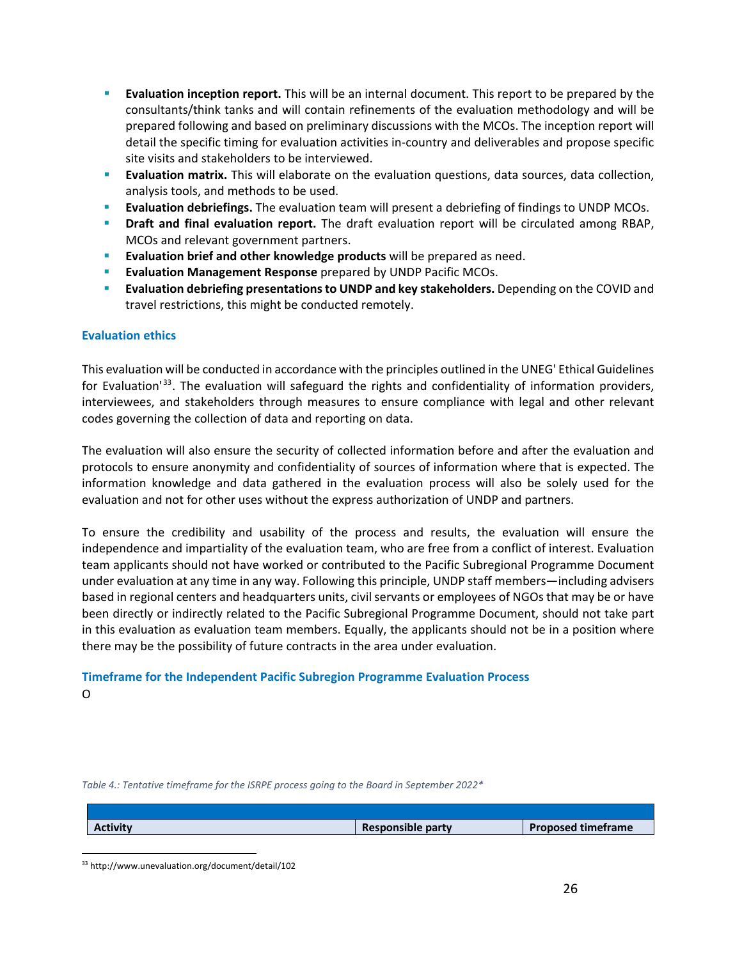- **Evaluation inception report.** This will be an internal document. This report to be prepared by the consultants/think tanks and will contain refinements of the evaluation methodology and will be prepared following and based on preliminary discussions with the MCOs. The inception report will detail the specific timing for evaluation activities in-country and deliverables and propose specific site visits and stakeholders to be interviewed.
- **Evaluation matrix.** This will elaborate on the evaluation questions, data sources, data collection, analysis tools, and methods to be used.
- **Evaluation debriefings.** The evaluation team will present a debriefing of findings to UNDP MCOs.
- **Draft and final evaluation report.** The draft evaluation report will be circulated among RBAP, MCOs and relevant government partners.
- **Evaluation brief and other knowledge products** will be prepared as need.
- **Evaluation Management Response** prepared by UNDP Pacific MCOs.
- **Evaluation debriefing presentations to UNDP and key stakeholders.** Depending on the COVID and travel restrictions, this might be conducted remotely.

# **Evaluation ethics**

This evaluation will be conducted in accordance with the principles outlined in the UNEG' Ethical Guidelines for Evaluation<sup>'[33](#page-24-0)</sup>. The evaluation will safeguard the rights and confidentiality of information providers, interviewees, and stakeholders through measures to ensure compliance with legal and other relevant codes governing the collection of data and reporting on data.

The evaluation will also ensure the security of collected information before and after the evaluation and protocols to ensure anonymity and confidentiality of sources of information where that is expected. The information knowledge and data gathered in the evaluation process will also be solely used for the evaluation and not for other uses without the express authorization of UNDP and partners.

To ensure the credibility and usability of the process and results, the evaluation will ensure the independence and impartiality of the evaluation team, who are free from a conflict of interest. Evaluation team applicants should not have worked or contributed to the Pacific Subregional Programme Document under evaluation at any time in any way. Following this principle, UNDP staff members—including advisers based in regional centers and headquarters units, civil servants or employees of NGOs that may be or have been directly or indirectly related to the Pacific Subregional Programme Document, should not take part in this evaluation as evaluation team members. Equally, the applicants should not be in a position where there may be the possibility of future contracts in the area under evaluation.

# **Timeframe for the Independent Pacific Subregion Programme Evaluation Process**  O

*Table 4.: Tentative timeframe for the ISRPE process going to the Board in September 2022\** 

| <b>Activity</b> | Responsible party | <b>Proposed timeframe</b> |
|-----------------|-------------------|---------------------------|
|                 |                   |                           |

<span id="page-24-0"></span><sup>33</sup> http://www.unevaluation.org/document/detail/102

l